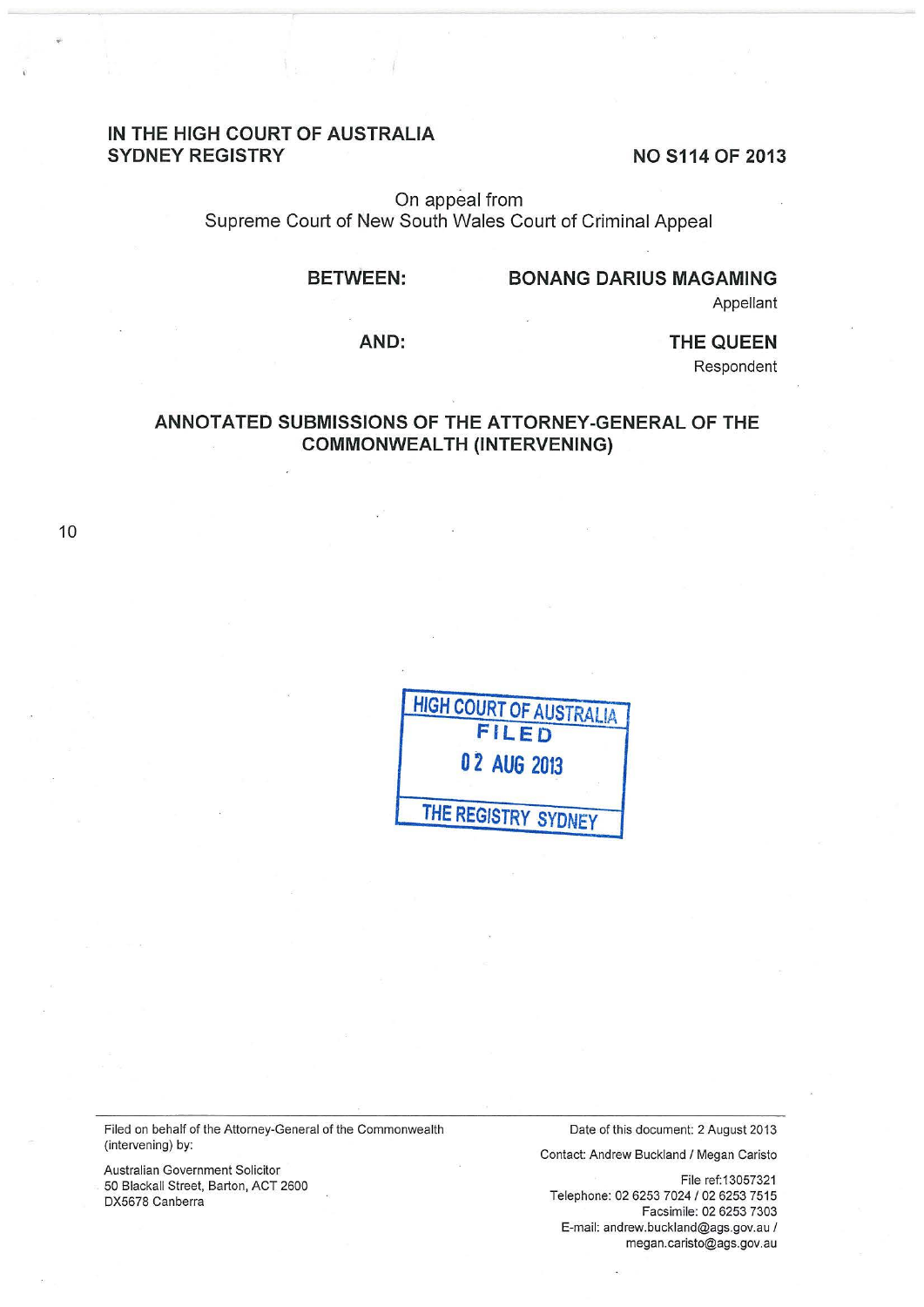# **IN THE HIGH COURT OF AUSTRALIA SYDNEY REGISTRY** NO S114 OF 2013

On appeal from Supreme Court of New South Wales Court of Criminal Appeal

#### **BETWEEN:**

### **BONANG DARIUS MAGAMING**

Appellant

**AND:** 

**THE QUEEN** 

Respondent

# **ANNOTATED SUBMISSIONS OF THE ATTORNEY-GENERAL OF THE COMMONWEALTH (INTERVENING)**

10

| <b>HIGH COURT OF AUSTRALIA</b> |
|--------------------------------|
| <b>FILED</b>                   |
| 02 AUG 2013                    |
| THE REGISTRY SYDNEY            |

Filed on behalf of the Attorney-General of the Commonwealth (intervening) by:

Australian Government Solicitor 50 Blackall Street, Barton, ACT 2600 DX5678 Canberra

Date of this document: 2 August 2013

Contact: Andrew Buckland I Megan Caristo

File ref: 13057321 Telephone: 02 6253 *7024102* 6253 7515 Facsimile: 02 6253 7303 E-mail: andrew.buckland@ags.gov.au I megan.caristo@ags.gov.au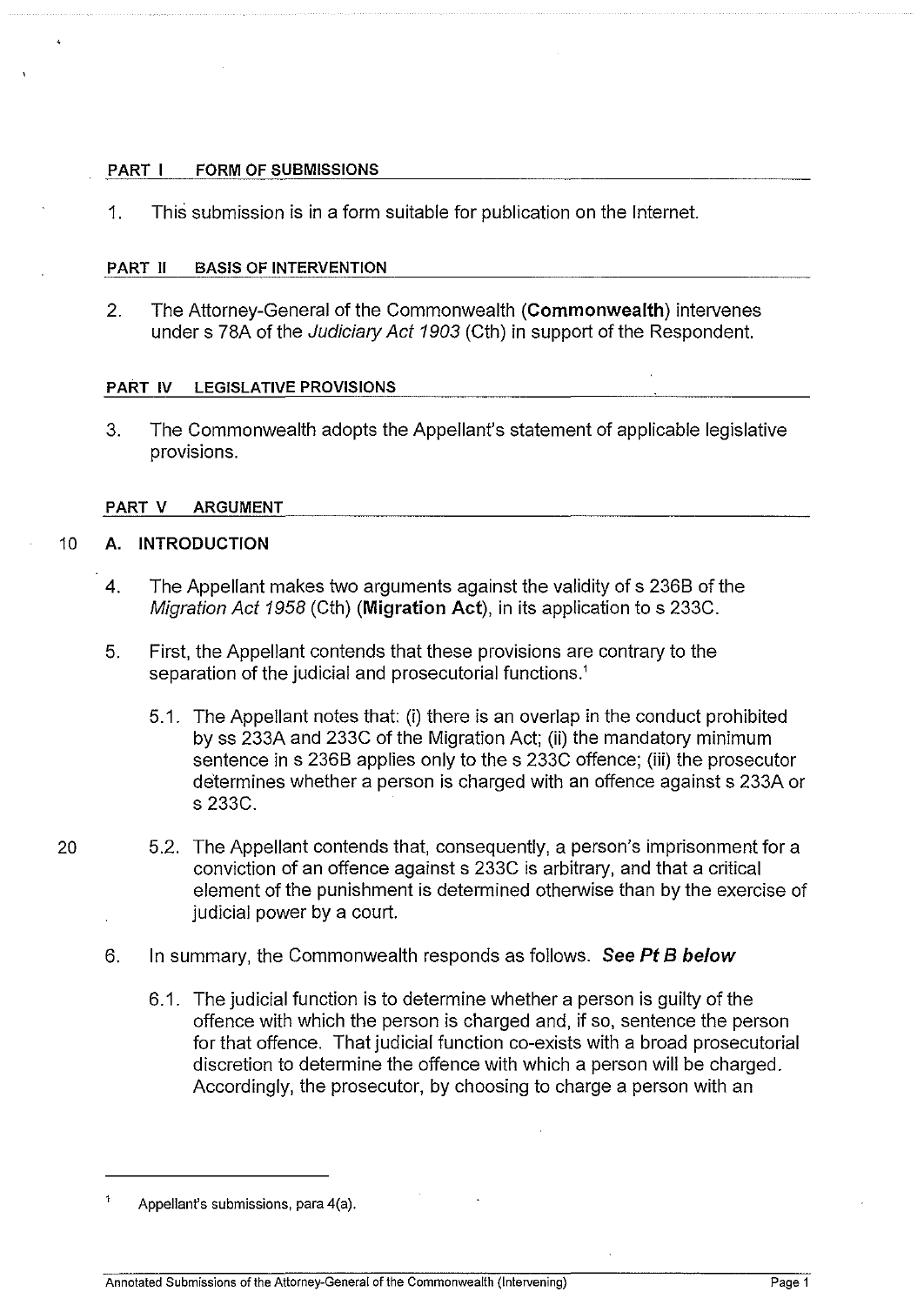## PART I FORM OF SUBMISSIONS

1. This submission is in a form suitable for publication on the Internet.

## PART II BASIS OF INTERVENTION

2. The Attorney-General of the Commonwealth (Commonwealth) intervenes under s 78A of the Judiciary Act 1903 (Cth) in support of the Respondent.

#### PART IV LEGISLATIVE PROVISIONS

3. The Commonwealth adopts the Appellant's statement of applicable legislative provisions.

## PART V ARGUMENT

## 10 A. INTRODUCTION

- 4. The Appellant makes two arguments against the validity of s 2368 of the Migration Act 1958 (Cth) (Migration Act), in its application to s 233C.
- 5. First, the Appellant contends that these provisions are contrary to the separation of the judicial and prosecutorial functions.'
	- 5.1. The Appellant notes that: (i) there is an overlap in the conduct prohibited by ss 233A and 233C of the Migration Act; (ii) the mandatory minimum sentence in s 2368 applies only to the s 233C offence; (iii) the prosecutor determines whether a person is charged with an offence against s 233A or s 233C.
- 20 5.2. The Appellant contends that, consequently, a person's imprisonment for a conviction of an offence against s 233C is arbitrary, and that a critical element of the punishment is determined otherwise than by the exercise of judicial power by a court.
	- 6. In summary, the Commonwealth responds as follows. See Pt B below
		- 6.1. The judicial function is to determine whether a person is guilty of the offence with which the person is charged and, if so, sentence the person for that offence. That judicial function co-exists with a broad prosecutorial discretion to determine the offence with which a person will be charged. Accordingly, the prosecutor, by choosing to charge a person with an

Appellant's submissions, para 4(a).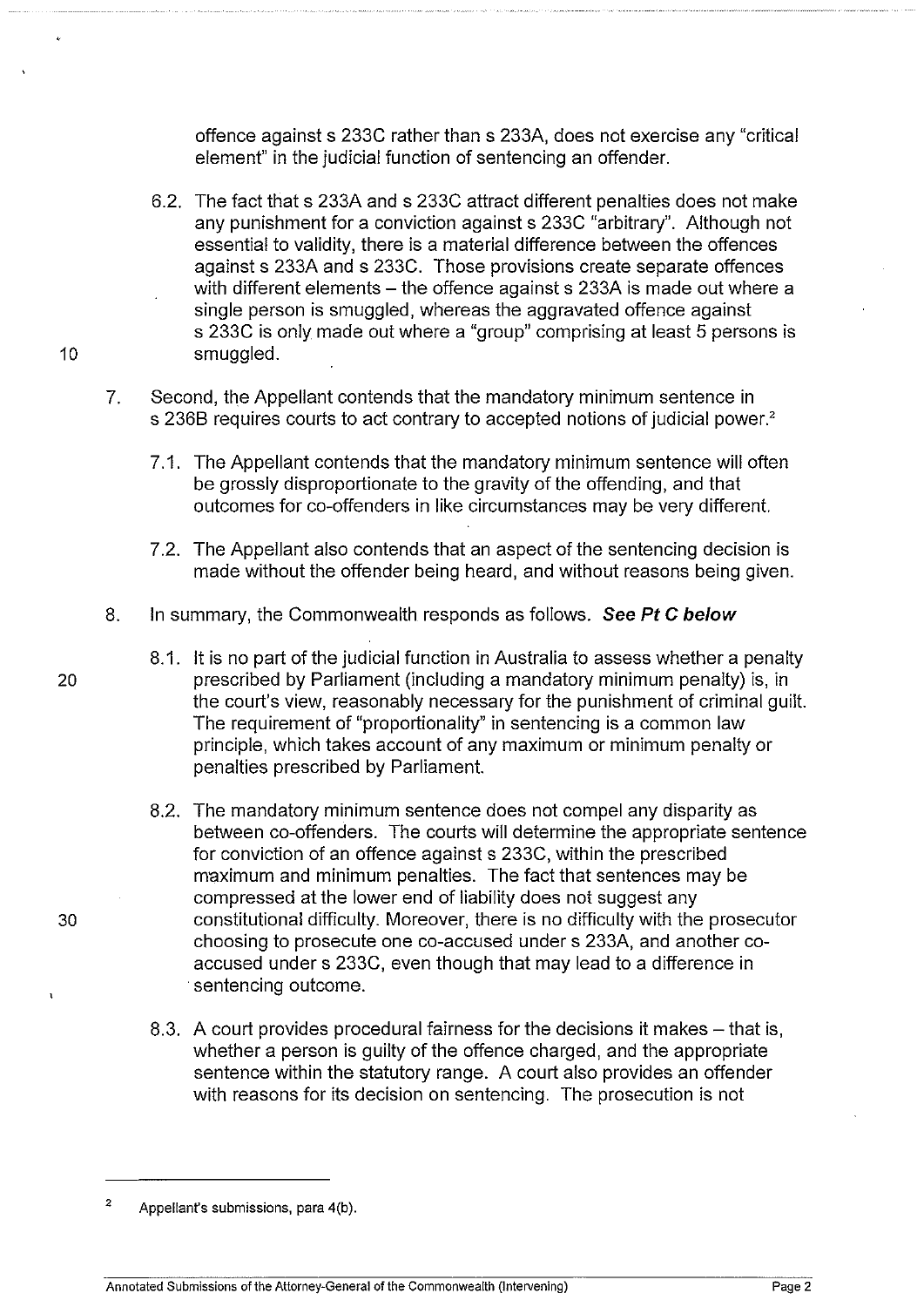offence against s 233C rather than s 233A, does not exercise any "critical element" in the judicial function of sentencing an offender.

- 6.2. The fact that s 233A and s 233C attract different penalties does not make any punishment for a conviction against s 233C "arbitrary". Although not essential to validity, there is a material difference between the offences against s 233A and s 233C. Those provisions create separate offences with different elements  $-$  the offence against s 233A is made out where a single person is smuggled, whereas the aggravated offence against s 233C is only made out where a "group" comprising at least 5 persons is 10 smuggled.
	- 7. Second, the Appellant contends that the mandatory minimum sentence in s 236B requires courts to act contrary to accepted notions of judicial power.<sup>2</sup>
		- 7 .1. The Appellant contends that the mandatory minimum sentence will often be grossly disproportionate to the gravity of the offending, and that outcomes for co-offenders in like circumstances may be very different.
		- 7 .2. The Appellant also contends that an aspect of the sentencing decision is made without the offender being heard, and without reasons being given.
	- 8. In summary, the Commonwealth responds as follows. **See Pt C below**
- 8.1. It is no part of the judicial function in Australia to assess whether a penalty 20 prescribed by Parliament (including a mandatory minimum penalty) is, in the court's view, reasonably necessary for the punishment of criminal guilt. The requirement of "proportionality" in sentencing is a common law principle, which takes account of any maximum or minimum penalty or penalties prescribed by Parliament.
- 8.2. The mandatory minimum sentence does not compel any disparity as between co-offenders. The courts will determine the appropriate sentence for conviction of an offence against s 233C, within the prescribed maximum and minimum penalties. The fact that sentences may be compressed at the lower end of liability does not suggest any 30 constitutional difficulty. Moreover, there is no difficulty with the prosecutor choosing to prosecute one co-accused under s 233A, and another coaccused under s 233C, even though that may lead to a difference in sentencing outcome.
	- 8.3. A court provides procedural fairness for the decisions it makes that is, whether a person is guilty of the offence charged, and the appropriate sentence within the statutory range. A court also provides an offender with reasons for its decision on sentencing. The prosecution is not

<sup>2</sup>  Appellant's submissions, para 4(b).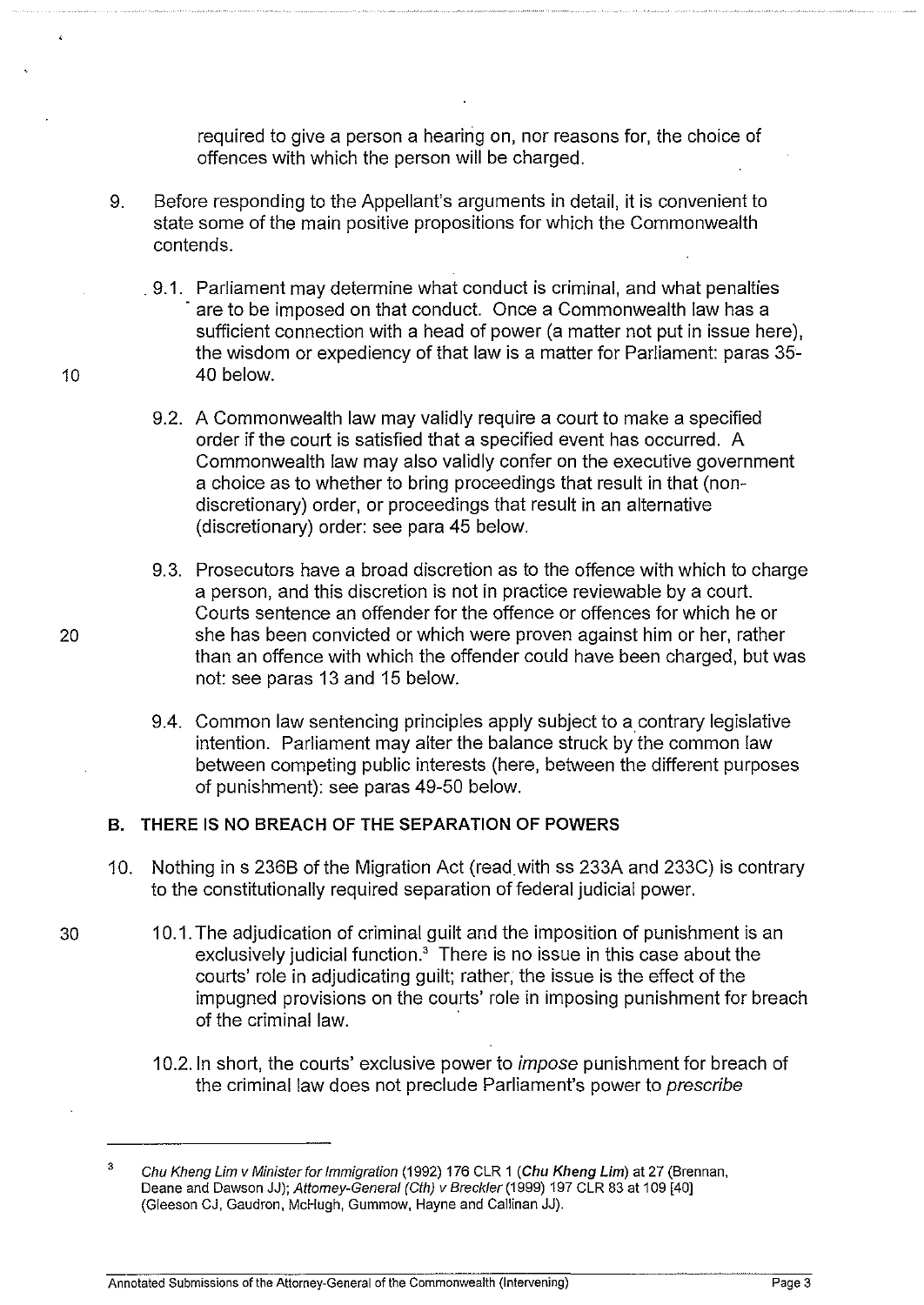required to give a person a hearing on, nor reasons for, the choice of offences with which the person will be charged.

- 9. Before responding to the Appellant's arguments in detail, it is convenient to state some of the main positive propositions for which the Commonwealth contends .
- . 9.1. Parliament may determine what conduct is criminal, and what penalties are to be imposed on that conduct. Once a Commonwealth law has a sufficient connection with a head of power (a matter not put in issue here), the wisdom or expediency of that law is a matter for Parliament: paras 35- 10 40 below.
	- 9.2. A Commonwealth law may validly require a court to make a specified order if the court is satisfied that a specified event has occurred. A Commonwealth law may also validly confer on the executive government a choice as to whether to bring proceedings that result in that (nondiscretionary) order, or proceedings that result in an alternative (discretionary) order: see para 45 below.
- 9.3. Prosecutors have a broad discretion as to the offence with which to charge a person, and this discretion is not in practice reviewable by a court. Courts sentence an offender for the offence or offences for which he or 20 she has been convicted or which were proven against him or her, rather than an offence with which the offender could have been charged, but was not: see paras 13 and 15 below.
	- 9.4. Common law sentencing principles apply subject to a contrary legislative intention. Parliament may alter the balance struck by the common law between competing public interests (here, between the different purposes of punishment): see paras 49-50 below.

## **B. THERE** IS NO **BREACH OF THE SEPARATION OF POWERS**

- 10. Nothing in s 2368 of the Migration Act (read with ss 233A and 233C) is contrary to the constitutionally required separation of federal judicial power.
- 30 1 0.1. The adjudication of criminal guilt and the imposition of punishment is an exclusively judicial function.' There is no issue in this case about the courts' role in adjudicating guilt; rather, the issue is the effect of the impugned provisions on the courts' role in imposing punishment for breach of the criminal law.
	- 10.2. In short, the courts' exclusive power to *impose* punishment for breach of the criminal law does not preclude Parliament's power to prescribe

<sup>3</sup>  Chu Kheng Lim v Minister for Immigration (1992) 176 CLR 1 (Chu Kheng Lim) at 27 (Brennan, Deane and Dawson JJ); Attorney-General (Cth) v Breckler (1999) 197 CLR 83 at 109 [40] (Gleeson CJ, Gaudron, McHugh, Gummow, Hayne and Callinan JJ).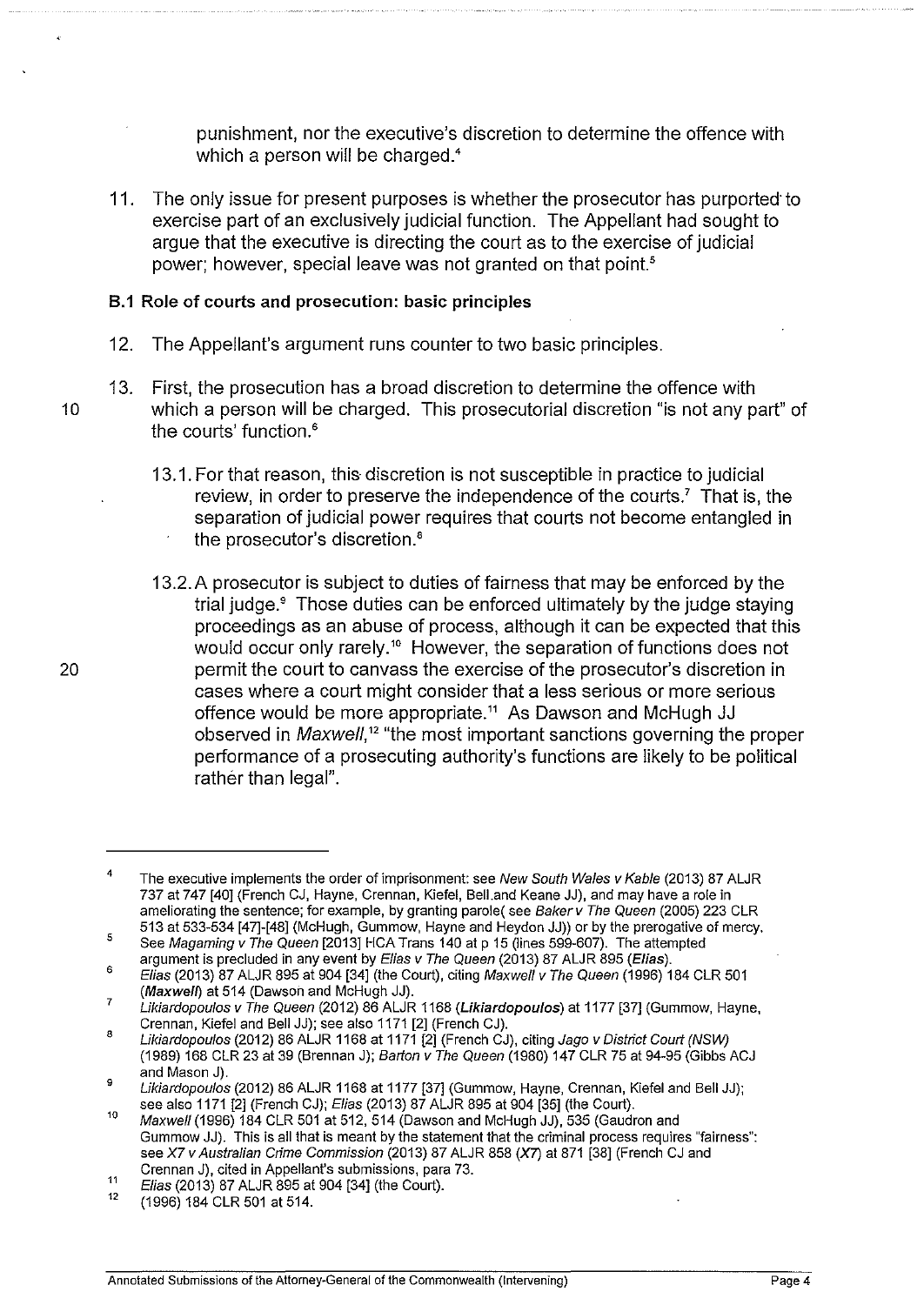punishment, nor the executive's discretion to determine the offence with which a person will be charged.<sup>4</sup>

11. The only issue for present purposes is whether the prosecutor has purported· to exercise part of an exclusively judicial function. The Appellant had sought to argue that the executive is directing the court as to the exercise of judicial power; however, special leave was not granted on that point.<sup>5</sup>

#### 8.1 Role of courts and prosecution: basic principles

- 12. The Appellant's argument runs counter to two basic principles.
- 13. First, the prosecution has a broad discretion to determine the offence with 10 which a person will be charged. This prosecutorial discretion "is not any part" of the courts' function.<sup>6</sup>
	- 13.1. For that reason, this discretion is not susceptible in practice to judicial review, in order to preserve the independence of the courts.<sup>7</sup> That is, the separation of judicial power requires that courts not become entangled in the prosecutor's discretion.•
	- 13.2. A prosecutor is subject to duties of fairness that may be enforced by the trial judge.• Those duties can be enforced ultimately by the judge staying proceedings as an abuse of process, although it can be expected that this would occur only rarely.<sup>10</sup> However, the separation of functions does not permit the court to canvass the exercise of the prosecutor's discretion in cases where a court might consider that a less serious or more serious offence would be more appropriate." As Dawson and McHugh JJ observed in *Maxwell*,<sup>12</sup> "the most important sanctions governing the proper performance of a prosecuting authority's functions are likely to be political rather than legal".

20

<sup>4</sup>  The executive implements the order of imprisonment: see New South Wales v Kable (2013) 87 ALJR 737 at 747 [40] (French CJ, Hayne, Grennan, Kiefel, BelLand Keane JJ), and may have a role in ameliorating the sentence; for example, by granting parole( see Baker *v* The Queen (2005) 223 CLR 513 at 533-534 [47]-[48] (McHugh, Gummow, Hayne and Heydon JJ)) or by the prerogative of mercy.

<sup>5</sup>  See Magaming *v* The Queen [2013] HCA Trans 140 at p 15 (lines 599-607). The attempted argument is precluded in any event by Elias *v* The Queen (2013) 87 ALJR 895 (Elias).

<sup>6</sup>  Elias (2013) 87 ALJR 895 at 904 [34] (the Court), citing Maxwell *v* The Queen (1996) 184 CLR 501 (Maxwell) at 514 (Dawson and McHugh JJ).

<sup>7</sup>  Likiardopoulos v The Queen (2012) 86 ALJR 1168 (Likiardopoulos) at 1177 [37] (Gummow, Hayne, Grennan, Kiefel and Bell JJ); see also 1171 [2] (French CJ).

<sup>8</sup>  Likiardopoulos (2012) 86 ALJR 1168 at 1171 [2] (French CJ), citing Jago v District Court (NSW) (1989) 168 CLR 23 at 39 (Brennan J); Barton v The Queen (1980) 147 CLR 75 at 94-95 (Gibbs ACJ and Mason J).

<sup>9</sup>  Likiardopoulos (2012) 86 ALJR 1168 at 1177 [37] (Gummow, Hayne, Grennan, Kiefel and Bell JJ); see also 1171 [2] (French CJ); Elias (2013) 87 ALJR 895 at 904 [35] (the Court).

<sup>10</sup>  Maxwell (1996) 184 CLR 501 at 512, 514 (Dawson and McHugh JJ), 535 (Gaudron and Gum mow JJ). This is all that is meant by the statement that the criminal process requires "fairness": see X? v Australian Crime Commission (2013) 87 ALJR 858 (X7) at 871 [38] (French CJ and Grennan J), cited in Appellant's submissions, para 73.

<sup>11</sup>  Elias (2013) 87 ALJR 895 at 904 [34] (the Court).

<sup>12</sup>  (1996) 184 CLR 501 at 514.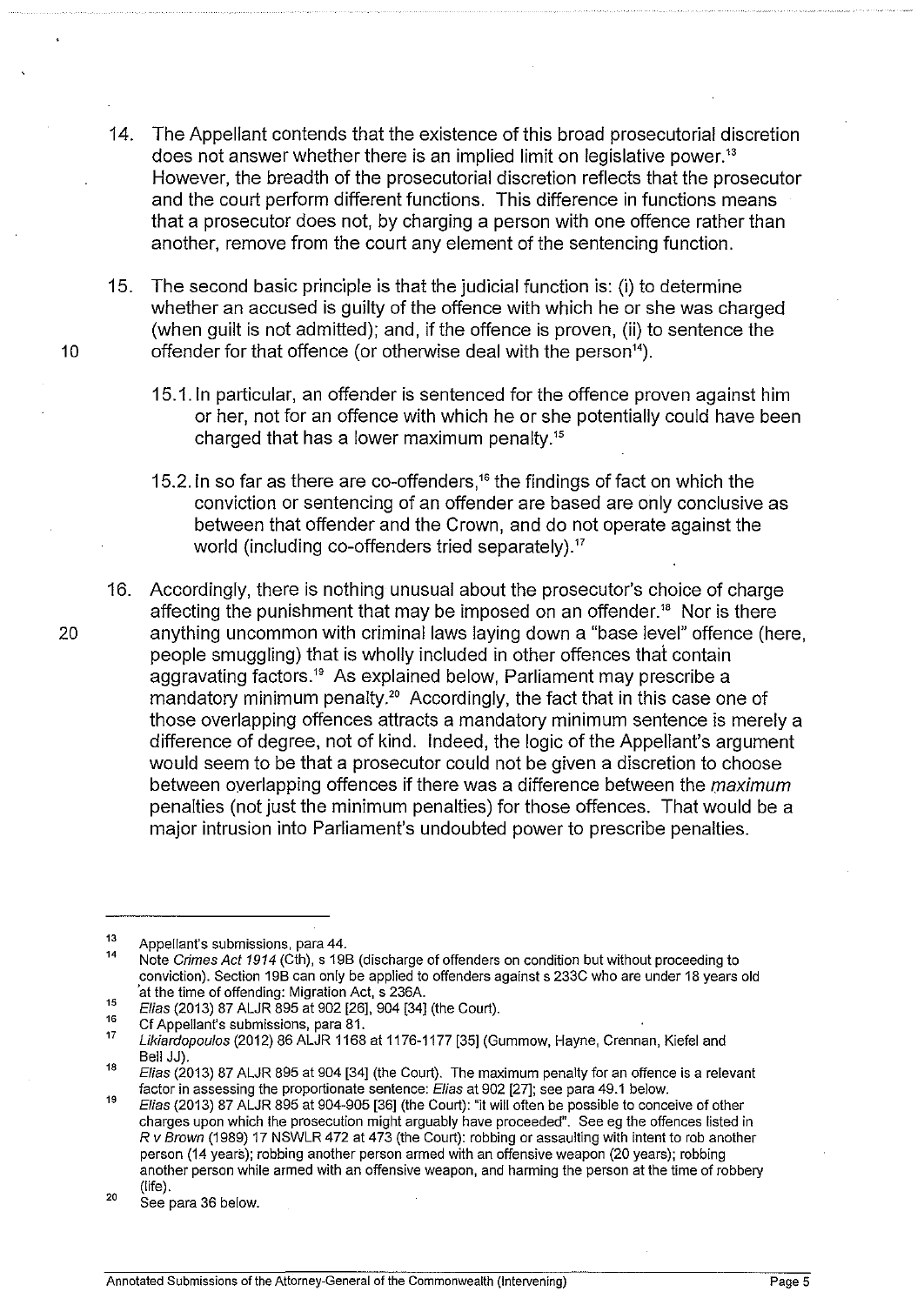- 14. The Appellant contends that the existence of this broad prosecutorial discretion does not answer whether there is an implied limit on legislative power.<sup>13</sup> However, the breadth of the prosecutorial discretion reflects that the prosecutor and the court perform different functions. This difference in functions means that a prosecutor does not, by charging a person with one offence rather than another, remove from the court any element of the sentencing function.
- 15. The second basic principle is that the judicial function is: (i) to determine whether an accused is quilty of the offence with which he or she was charged (when guilt is not admitted); and, if the offence is proven, (ii) to sentence the 10 offender for that offence (or otherwise deal with the person").
	- 15.1.1n particular, an offender is sentenced for the offence proven against him or her, not for an offence with which he or she potentially could have been charged that has a lower maximum penalty. <sup>15</sup>
	- 15.2. In so far as there are co-offenders,<sup>16</sup> the findings of fact on which the conviction or sentencing of an offender are based are only conclusive as between that offender and the Crown, and do not operate against the world (including co-offenders tried separately).<sup>17</sup>
- 16. Accordingly, there is nothing unusual about the prosecutor's choice of charge affecting the punishment that may be imposed on an offender.'" Nor is there 20 anything uncommon with criminal laws laying down a "base level" offence (here, people smuggling) that is wholly included in other offences that contain aggravating factors.<sup>19</sup> As explained below, Parliament may prescribe a mandatory minimum penalty.<sup>20</sup> Accordingly, the fact that in this case one of those overlapping offences attracts a mandatory minimum sentence is merely a difference of degree, not of kind. Indeed, the logic of the Appellant's argument would seem to be that a prosecutor could not be given a discretion to choose between overlapping offences if there was a difference between the *maximum*  penalties (not just the minimum penalties) for those offences. That would be a major intrusion into Parliament's undoubted power to prescribe penalties.

<sup>13</sup>  Appellant's submissions. para 44.

<sup>14</sup>  Note Crimes Act 1914 (Cth), s 19B (discharge of offenders on condition but without proceeding to conviction). Section 19B can only be applied to offenders against s 233C who are under 18 years old at the time of offending: Migration Act, s 236A.

<sup>15</sup>  Elias (2013) 87 ALJR 895 at 902 [26], 904 [34] (the Court).

<sup>16</sup>  Cf Appellant's submissions, para 81.

<sup>17</sup>  Likiardopoulos (2012) 86 ALJR 1168 at 1176-1177 [35] (Gummow, Hayne, Crennan, Kiefel and Bell JJ).

<sup>18</sup>  Elias (2013) 87 ALJR 895 at 904 [34] (the Court). The maximum penalty for an offence is a relevant factor in assessing the proportionate sentence: Elias at 902 [27]; see para 49.1 below.

<sup>19</sup>  Elias (2013) 87 ALJR 895 at 904-905 [36] (the Court): "it will often be possible to conceive of other charges upon which the prosecution might arguably have proceeded". See eg the offences listed in R *v* Brown (1989) 17 NSWLR 472 at 473 (the Court): robbing or assaulting with intent to rob another person (14 years); robbing another person armed with an offensive weapon (20 years); robbing another person while armed with an offensive weapon, and harming the person at the time of robbery (life).

<sup>20</sup>  See para 36 below.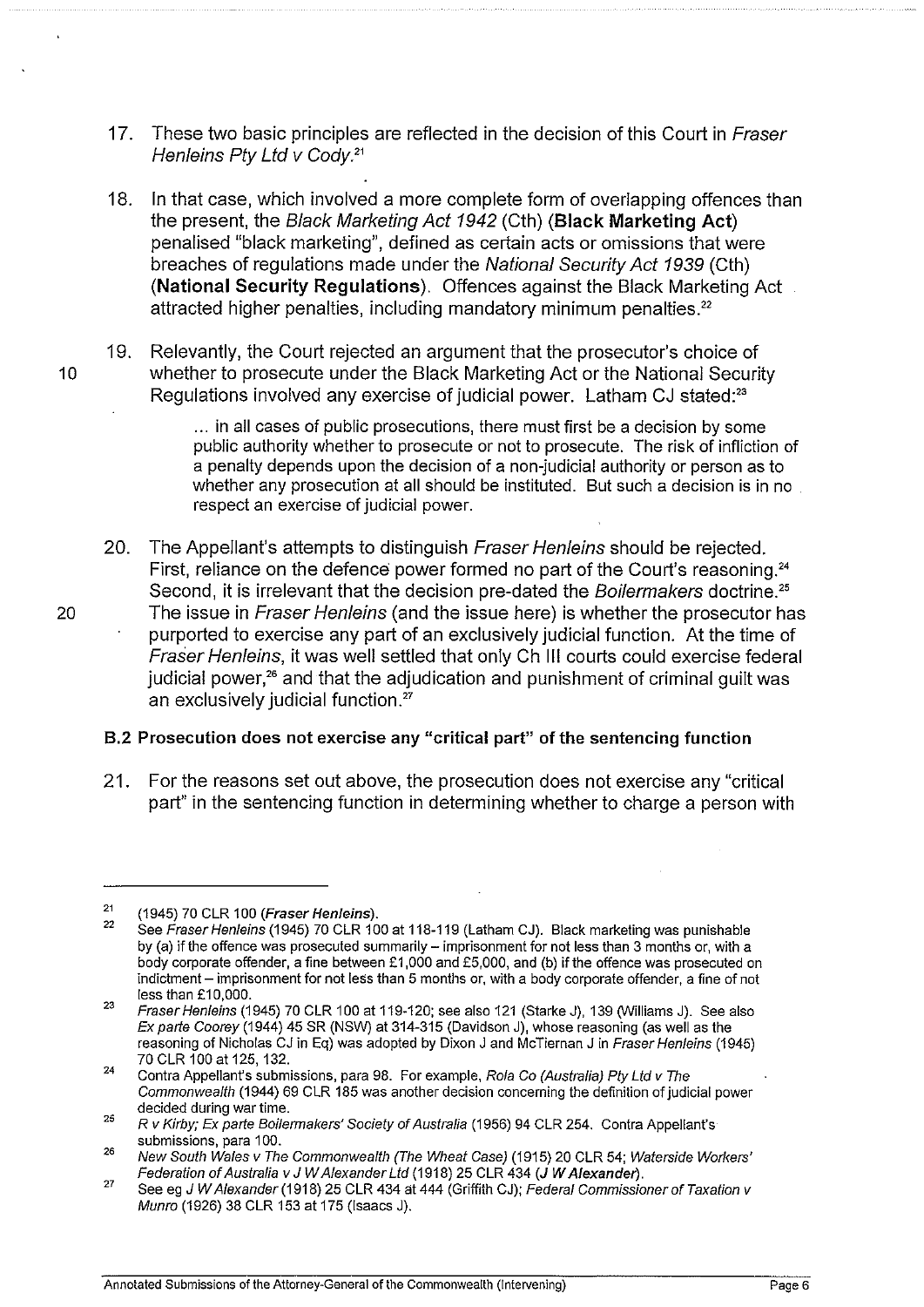- 17. These two basic principles are reflected in the decision of this Court in Fraser Henleins Pty Ltd v Cody.21
- 18. In that case, which involved a more complete form of overlapping offences than the present, the Black Marketing Act 1942 (Cth) (Black Marketing Act) penalised "black marketing", defined as certain acts or omissions that were breaches of regulations made under the National Security Act 1939 (Cth) (National Security Regulations). Offences against the Black Marketing Act attracted higher penalties, including mandatory minimum penalties.<sup>22</sup>
- 19. Relevantly, the Court rejected an argument that the prosecutor's choice of 10 whether to prosecute under the Black Marketing Act or the National Security Regulations involved any exercise of judicial power.  $\,$  Latham CJ stated: $^{2}$

... in all cases of public prosecutions, there must first be a decision by some public authority whether to prosecute or not to prosecute. The risk of infliction of a penalty depends upon the decision of a non-judicial authority or person as to whether any prosecution at all should be instituted. But such a decision is in no respect an exercise of judicial power.

20. The Appellant's attempts to distinguish Fraser Henleins should be rejected. First, reliance on the defence power formed no part of the Court's reasoning.<sup>24</sup> Second, it is irrelevant that the decision pre-dated the Boilermakers doctrine.<sup>25</sup> 20 The issue in Fraser Henleins (and the issue here) is whether the prosecutor has purported to exercise any part of an exclusively judicial function. At the time of Fraser Henleins, it was well settled that only Ch Ill courts could exercise federal judicial power, $26$  and that the adjudication and punishment of criminal guilt was an exclusively judicial function.<sup>27</sup>

## 8.2 Prosecution does not exercise any "critical part" of the sentencing function

21. For the reasons set out above, the prosecution does not exercise any "critical part" in the sentencing function in determining whether to charge a person with

<sup>21</sup>  (1945) 70 CLR 100 (Fraser Hen/eins).

 $\overline{22}$ See Fraser Henleins (1945) 70 CLR 100 at 118-119 (Latham CJ). Black marketing was punishable by (a) if the offence was prosecuted summarily  $-$  imprisonment for not less than 3 months or, with a body corporate offender, a fine between £1,000 and £5,000, and (b) if the offence was prosecuted on indictment- imprisonment for not less than 5 months or, with a body corporate offender, a fine of not less than £10,000.

<sup>23</sup>  Fraser Henleins (1945) 70 CLR 100 at 119-120; see also 121 (Starke J), 139 (Williams J). See also Ex parte Coorey (1944) 45 SR (NSW) at 314-315 (Davidson J), whose reasoning (as well as the reasoning of Nicholas CJ in Eq) was adopted by Dixon J and McTiernan J in Fraser Henleins (1945) 70 CLR 100 at 125, 132.

<sup>24</sup>  Contra Appellant's submissions, para 98. For example, Rola Co (Australia) Pty Ltd v The Commonwealth (1944) 69 CLR 185 was another decision concerning the definition of judicial power decided during war time.

<sup>25</sup>  R v Kirby; Ex parte Boilermakers' Society of Australia (1956) 94 CLR 254. Contra Appellant's submissions, para 100.

<sup>26</sup>  New South Wales *v* The Commonwealth (The Wheat Case) (1915) 20 CLR 54; Waterside Workers' Federation of Australia *v* J W Alexander Ltd (1918) 25 CLR 434 (J W Alexander).

<sup>27</sup>  See eg J W Alexander (1918) 25 CLR 434 at 444 (Griffith CJ); Federal Commissioner of Taxation *v*  Munro (1926) 38 CLR 153 at 175 (Isaacs J).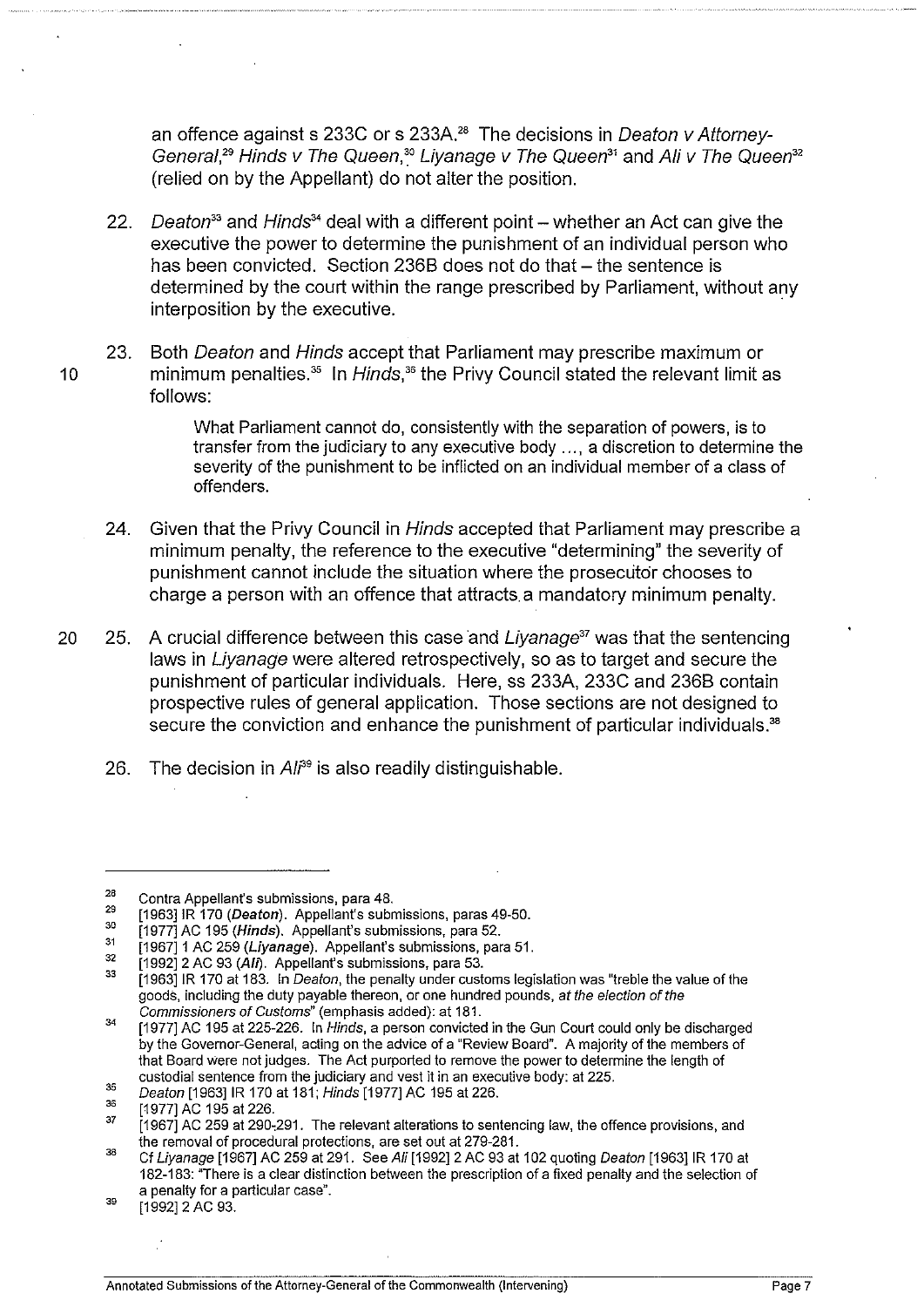an offence against s 233C or s 233A.<sup>28</sup> The decisions in Deaton y Attorney-General,<sup>29</sup> Hinds v The Queen,<sup>30</sup> Liyanage v The Queen<sup>31</sup> and Ali v The Queen<sup>32</sup> (relied on by the Appellant) do not alter the position.

- 22. Deaton<sup>33</sup> and Hinds<sup>34</sup> deal with a different point whether an Act can give the executive the power to determine the punishment of an individual person who has been convicted. Section 236B does not do that – the sentence is determined by the court within the range prescribed by Parliament, without any interposition by the executive.
- 23. Both Deaton and Hinds accept that Parliament may prescribe maximum or 10 minimum penalties.<sup>35</sup> In *Hinds*,<sup>36</sup> the Privy Council stated the relevant limit as follows:

What Parliament cannot do, consistently with the separation of powers, is to transfer from the judiciary to any executive body ... , a discretion to determine the severity of the punishment to be inflicted on an individual member of a class of offenders.

- 24. Given that the Privy Council in Hinds accepted that Parliament may prescribe a minimum penalty, the reference to the executive "determining" the severity of punishment cannot include the situation where the prosecutor chooses to charge a person with an offence that attracts. a mandatory minimum penalty.
- 20 25. A crucial difference between this case and Liyanage'*<sup>7</sup>*was that the sentencing laws in Liyanage were altered retrospectively, so as to target and secure the punishment of particular individuals. Here, ss 233A, 233C and 236B contain prospective rules of general application. Those sections are not designed to secure the conviction and enhance the punishment of particular individuals.<sup>38</sup>
	- 26. The decision in Ali<sup>39</sup> is also readily distinguishable.

39 [1992] 2 AC 93.

<sup>28</sup>  29 Contra Appellant's submissions, para 48.

<sup>[1963]</sup> IR 170 (Deaton). Appellant's submissions, paras 49-50.

<sup>30</sup>  [1977] AC 195 (Hinds). Appellant's submissions, para 52.

<sup>31</sup>  32 [1967] 1 AC 259 (Liyanage). Appellant's submissions, para 51.

<sup>33</sup>  [1992] 2 AC 93 (Ali). Appellant's submissions, para 53.

<sup>[1963]1</sup>R 170 at 183. In Deaton, the penalty under customs legislation was "treble the value of the goods, including the duty payable thereon, or one hundred pounds, at the election of the Commissioners of Customs" (emphasis added): at 181.

<sup>34</sup>  [1977] AC 195 at 225-226. In *Hinds*, a person convicted in the Gun Court could only be discharged by the Governor-General, acting on the advice of a "Review Board". A majority of the members of that Board Were not judges. The Act purported to remove the power to determine the length of custodial sentence from the judiciary and vest it in an executive body: at 225.

<sup>35</sup>  Deaton [1963]1R 170 at 181; Hinds [1977] AC 195 at 226.

<sup>36</sup>  [1977] AC 195 at 226.

<sup>37</sup>  [1967] AC 259 at 290,291. The relevant alterations to sentencing law, the offence provisions, and the removal of procedural protections, are set out at 279-281.

<sup>38</sup>  Cf Liyanage [1967] AC 259 at 291. See Ali [1992] 2 AC 93 at 102 quoting Deaton [1963]1R 170 at 182-183: "There is a clear distinction between the prescription of a fixed penalty and the selection of a penalty for a particular case".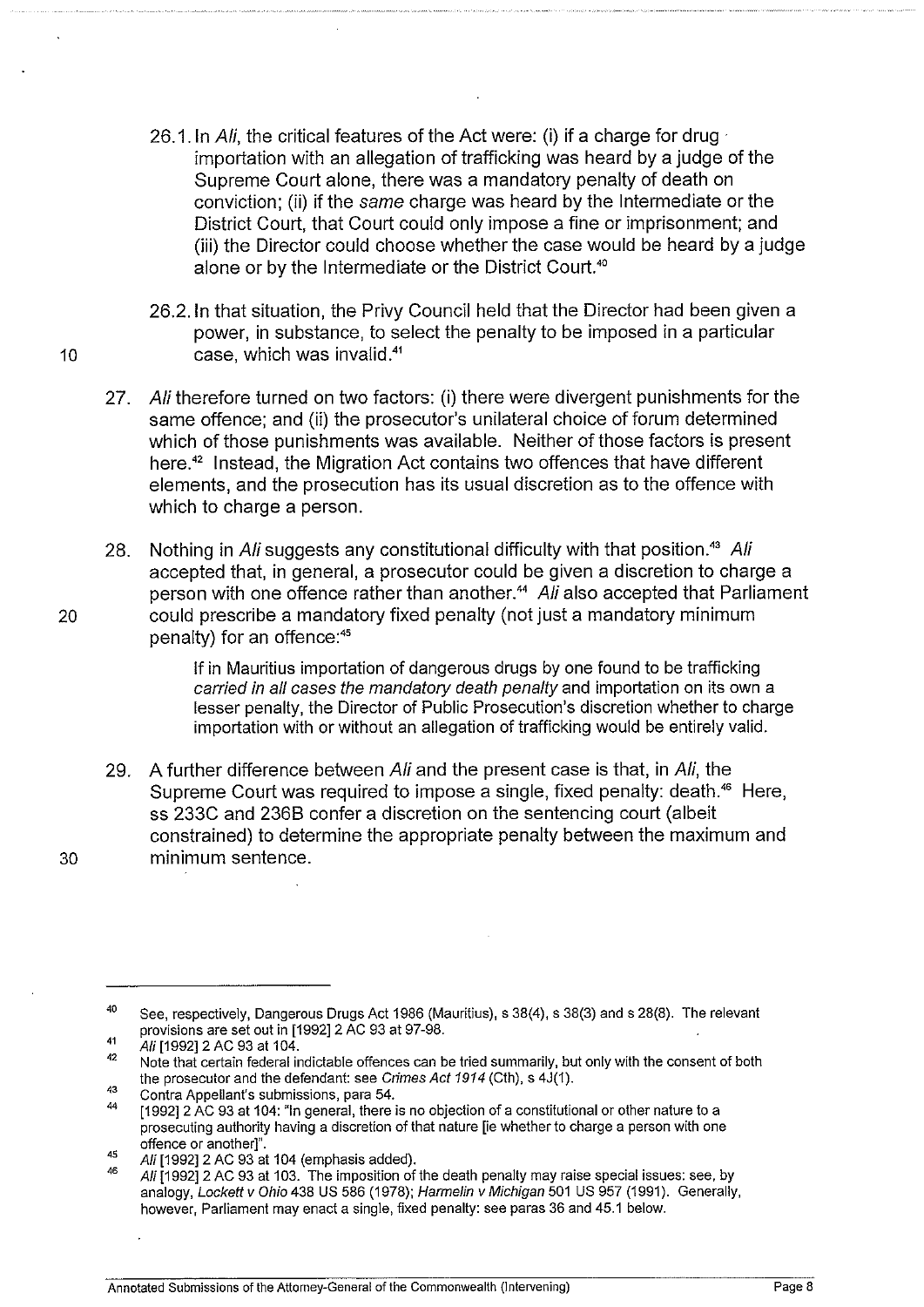- 26.1. In Ali, the critical features of the Act were: (i) if a charge for drug importation with an allegation of trafficking was heard by a judge of the Supreme Court alone, there was a mandatory penalty of death on conviction; (ii) if the same charge was heard by the Intermediate or the District Court, that Court could only impose a fine or imprisonment; and (iii) the Director could choose whether the case would be heard by a judge alone or by the Intermediate or the District Court.<sup>40</sup>
- 26.2.1n that situation, the Privy Council held that the Director had been given a power, in substance, to select the penalty to be imposed in a particular 10 case, which was invalid.<sup>41</sup>
	- 27. Ali therefore turned on two factors: (i) there were divergent punishments for the same offence; and (ii) the prosecutor's unilateral choice of forum determined which of those punishments was available. Neither of those factors is present here.<sup>42</sup> Instead, the Migration Act contains two offences that have different elements, and the prosecution has its usual discretion as to the offence with which to charge a person.
- 28. Nothing in Ali suggests any constitutional difficulty with that position.<sup>43</sup> Ali accepted that, in general, a prosecutor could be given a discretion to charge a person with one offence rather than another.<sup>44</sup> Ali also accepted that Parliament 20 could prescribe a mandatory fixed penalty (not just a mandatory minimum penalty) for an offence:<sup>45</sup>

If in Mauritius importation of dangerous drugs by one found to be trafficking carried in all cases the mandatory death penalty and importation on its own a lesser penalty, the Director of Public Prosecution's discretion whether to charge importation with or without an allegation of trafficking would be entirely valid.

29. A further difference between Ali and the present case is that, in Ali, the Supreme Court was required to impose a single, fixed penalty: death.<sup>46</sup> Here, ss 233C and 2368 confer a discretion on the sentencing court (albeit constrained) to determine the appropriate penalty between the maximum and 30 minimum sentence.

<sup>40</sup>  See, respectively, Dangerous Drugs Act 1986 (Mauritius), s 38(4), s 38(3) and s 28(8). The relevant provisions are set out in [1992] 2 AC 93 at 97-98.

<sup>41</sup>  Ali [1992] 2 AC 93 at 104.

<sup>42</sup>  Note that certain federal indictable offences can be tried summarily, but only with the consent of both the prosecutor and the defendant: see Crimes Act 1914 (Cth), s 4J(1).

<sup>43</sup>  Contra Appellant's submissions, para 54.

<sup>44</sup>  [1992]2 AC 93 at 104: "In general, there is no objection of a constitutional or other nature to a prosecuting authority having a discretion of that nature [ie whether to charge a person with one offence or another]".

<sup>45</sup>  Ali [1992] 2 AC 93 at 104 (emphasis added).

<sup>46</sup>  Ali [1992] 2 AC 93 at 103. The imposition of the death penalty may raise special issues: see, by analogy, Lockett v Ohio 438 US 586 (1978); Harmelin v Michigan 501 US 957 (1991). Generally, however, Parliament may enact a single, fixed penalty: see paras 36 and 45.1 below.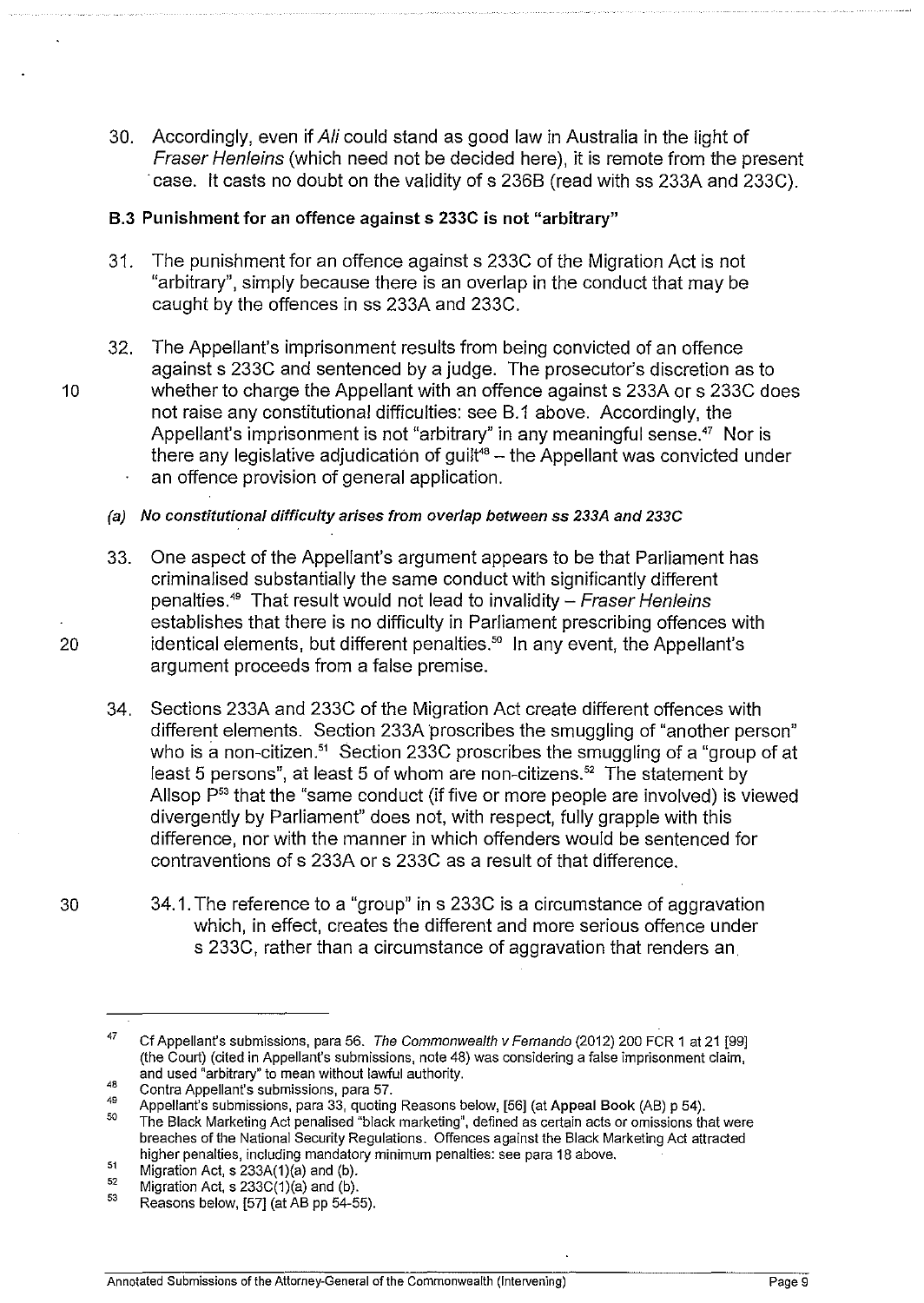30. Accordingly, even if Ali could stand as good law in Australia in the light of Fraser Henleins (which need not be decided here), it is remote from the present ·case. It casts no doubt on the validity of s 2368 (read with ss 233A and 233C).

## 8.3 Punishment for an offence against s 233C is not "arbitrary"

- 31. The punishment for an offence against s 233C of the Migration Act is not "arbitrary", simply because there is an overlap in the conduct that may be caught by the offences in ss 233A and 233C.
- 32. The Appellant's imprisonment results from being convicted of an offence against s 233C and sentenced by a judge. The prosecutor's discretion as to 10 b whether to charge the Appellant with an offence against s 233A or s 233C does not raise any constitutional difficulties: see 8.1 above. Accordingly, the Appellant's imprisonment is not "arbitrary" in any meaningful sense.<sup>47</sup> Nor is there any legislative adjudication of guilt<sup>48</sup> – the Appellant was convicted under an offence provision of general application.
	- (a) No constitutional difficulty arises from overlap between ss 233A and 233C
- 33. One aspect of the Appellant's argument appears to be that Parliament has criminalised substantially the same conduct with significantly different penalties.<sup>49</sup> That result would not lead to invalidity – Fraser Henleins establishes that there is no difficulty in Parliament prescribing offences with 20 identical elements, but different penalties.<sup>50</sup> In any event, the Appellant's argument proceeds from a false premise.
	- 34. Sections 233A and 233C of the Migration Act create different offences with different elements. Section 233A proscribes the smuggling of "another person" who is a non-citizen.<sup>51</sup> Section 233C proscribes the smuggling of a "group of at least 5 persons", at least 5 of whom are non-citizens.<sup>52</sup> The statement by Allsop  $P<sup>53</sup>$  that the "same conduct (if five or more people are involved) is viewed divergently by Parliament" does not, with respect, fully grapple with this difference, nor with the manner in which offenders would be sentenced for contraventions of s 233A or s 233C as a result of that difference.
		- 34.1. The reference to a "group" in s 233C is a circumstance of aggravation which, in effect, creates the different and more serious offence under s 233C, rather than a circumstance of aggravation that renders an.

30

<sup>47</sup>  Cf Appellant's submissions, para 56. The Commonwealth v Fernando (2012) 200 FCR 1 at 21 [99] (the Court) (cited in Appellant's submissions, note 48) was considering a false imprisonment claim, and used "arbitrary" to mean without lawful authority.

<sup>48</sup>  Contra Appellant's submissions, para 57.

<sup>49</sup>  Appellant's submissions, para 33, quoting Reasons below, [56] (at Appeal Book (AB) p 54).

<sup>50</sup>  The Black Marketing Act penalised "black marketing", defined as certain acts or omissions that were breaches of the National Security Regulations. Offences against the Black Marketing Act attracted higher penalties, including mandatory minimum penalties: see para 18 above.

<sup>51</sup>  Migration Act, s 233A(1)(a) and (b).

<sup>52</sup>  Migration Act, s 233C(1)(a) and (b).

<sup>53</sup>  Reasons below, [57] (at AB pp 54-55).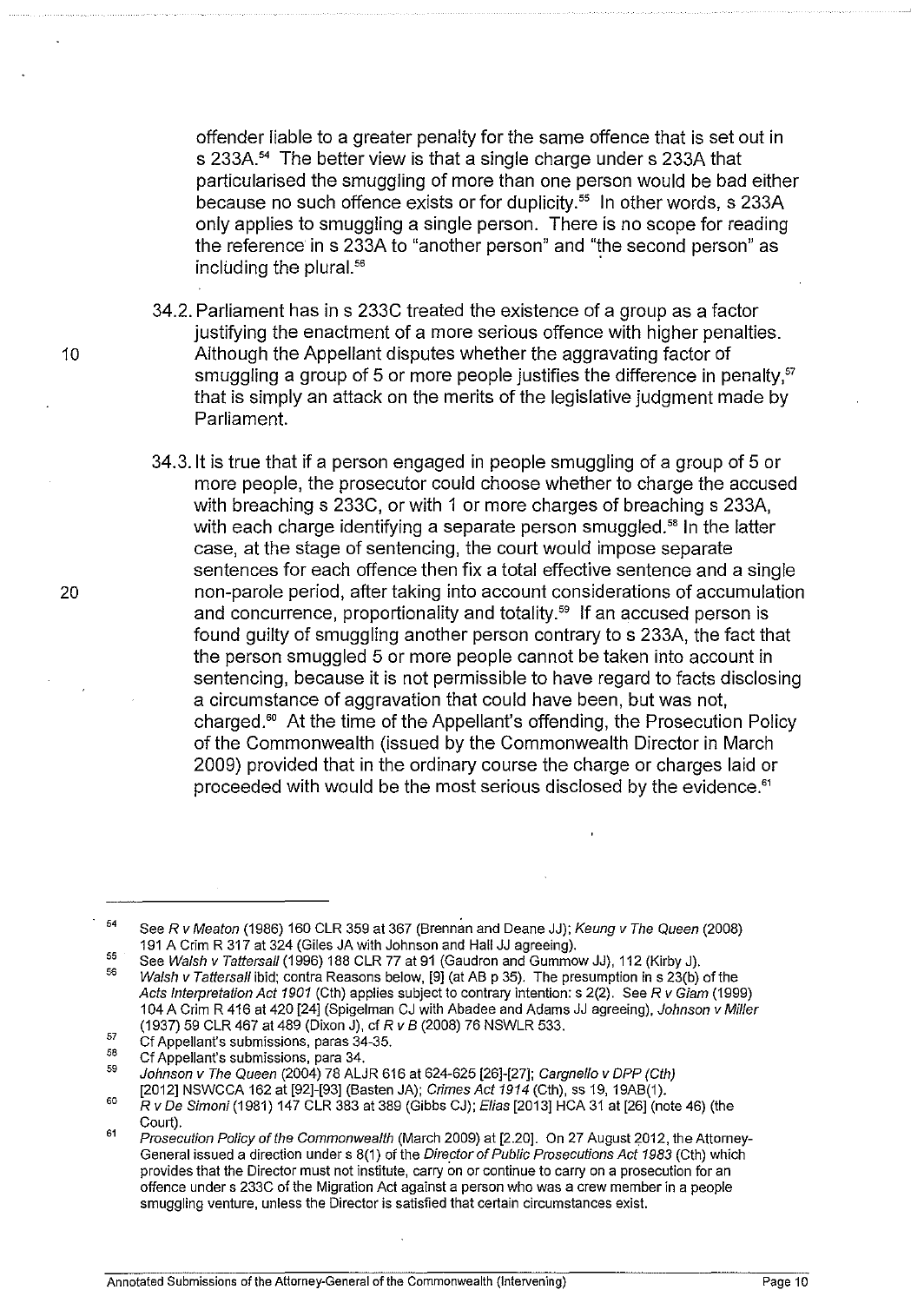offender liable to a greater penalty for the same offence that is set out in s 233A.<sup>54</sup> The better view is that a single charge under s 233A that particularised the smuggling of more than one person would be bad either because no such offence exists or for duplicity. $55$  In other words, s 233A only applies to smuggling a single person. There is no scope for reading the reference in s 233A to "another person" and "the second person" as including the plural.<sup>56</sup>

- 34.2. Parliament has in s 233C treated the existence of a group as a factor justifying the enactment of a more serious offence with higher penalties. Although the Appellant disputes whether the aggravating factor of smuggling a group of 5 or more people justifies the difference in penalty, $57$ that is simply an attack on the merits of the legislative judgment made by Parliament.
- 34.3.1t is true that if a person engaged in people smuggling of a group of 5 or more people, the prosecutor could choose whether to charge the accused with breaching s 233C, or with 1 or more charges of breaching s 233A, with each charge identifying a separate person smuggled.<sup>58</sup> In the latter case, at the stage of sentencing, the court would impose separate sentences for each offence then fix a total effective sentence and a single non-parole period, after taking into account considerations of accumulation and concurrence, proportionality and totality.<sup>59</sup> If an accused person is found guilty of smuggling another person contrary to s 233A, the fact that the person smuggled 5 or more people cannot be taken into account in sentencing, because it is not permissible to have regard to facts disclosing a circumstance of aggravation that could have been, but was not, charged."' At the time of the Appellant's offending, the Prosecution Policy of the Commonwealth (issued by the Commonwealth Director in March 2009) provided that in the ordinary course the charge or charges laid or proceeded with would be the most serious disclosed by the evidence."

20

<sup>54</sup>  See R v Meaton (1986) 160 CLR 359 at 367 (Brennan and Deane JJ); Keung v The Queen (2008) 191 A Grim R 317 at 324 (Giles JA with Johnson and Hall JJ agreeing).

<sup>55</sup>  56 See Walsh v Tattersall (1996) 188 CLR 77 at 91 (Gaudron and Gummow JJ), 112 (Kirby J). Walsh v Tattersall ibid; contra Reasons below, [9] (at AB p 35). The presumption in s 23(b) of the Acts Interpretation Act 1901 (Cth) applies subject to contrary intention: s 2(2). See R v Giam (1999) 104 A Crim R 416 at 420 [24] (Spigelman CJ with Abadee and Adams JJ agreeing), Johnson v Miller (1937) 59 CLR 467 at 489 (Dixon J), cf *R v B* (2008) 76 NSWLR 533.

<sup>57</sup>  Cf Appellant's submissions, paras 34-35.

<sup>58</sup>  Cf Appellant's submissions, para 34.

<sup>59</sup>  Johnson v The Queen (2004) 78 ALJR 616 at 624-625 [26]-[27]; Cargnello v DPP (Cth)

<sup>60</sup>  [2012] NSWCCA 162 at [92]-[93] (Basten JA); Crimes Act 1914 (Cth), ss 19, 19AB(1).

<sup>61</sup>  R v De Simoni (1981) 147 CLR 383 at 389 (Gibbs CJ); Elias [2013] HCA 31 at [26] (note 46) (the Court).

Prosecution Policy of the Commonwealth (March 2009) at [2.20]. On 27 August 2012, the Attorney-General issued a direction under s 8(1) of the Director of Public Prosecutions Act 1983 (Cth) which provides that the Director must not institute, carry on or continue to carry on a prosecution for an offence under s 233C of the Migration Act against a person who was a crew member in a people smuggling venture, unless the Director is satisfied that certain circumstances exist.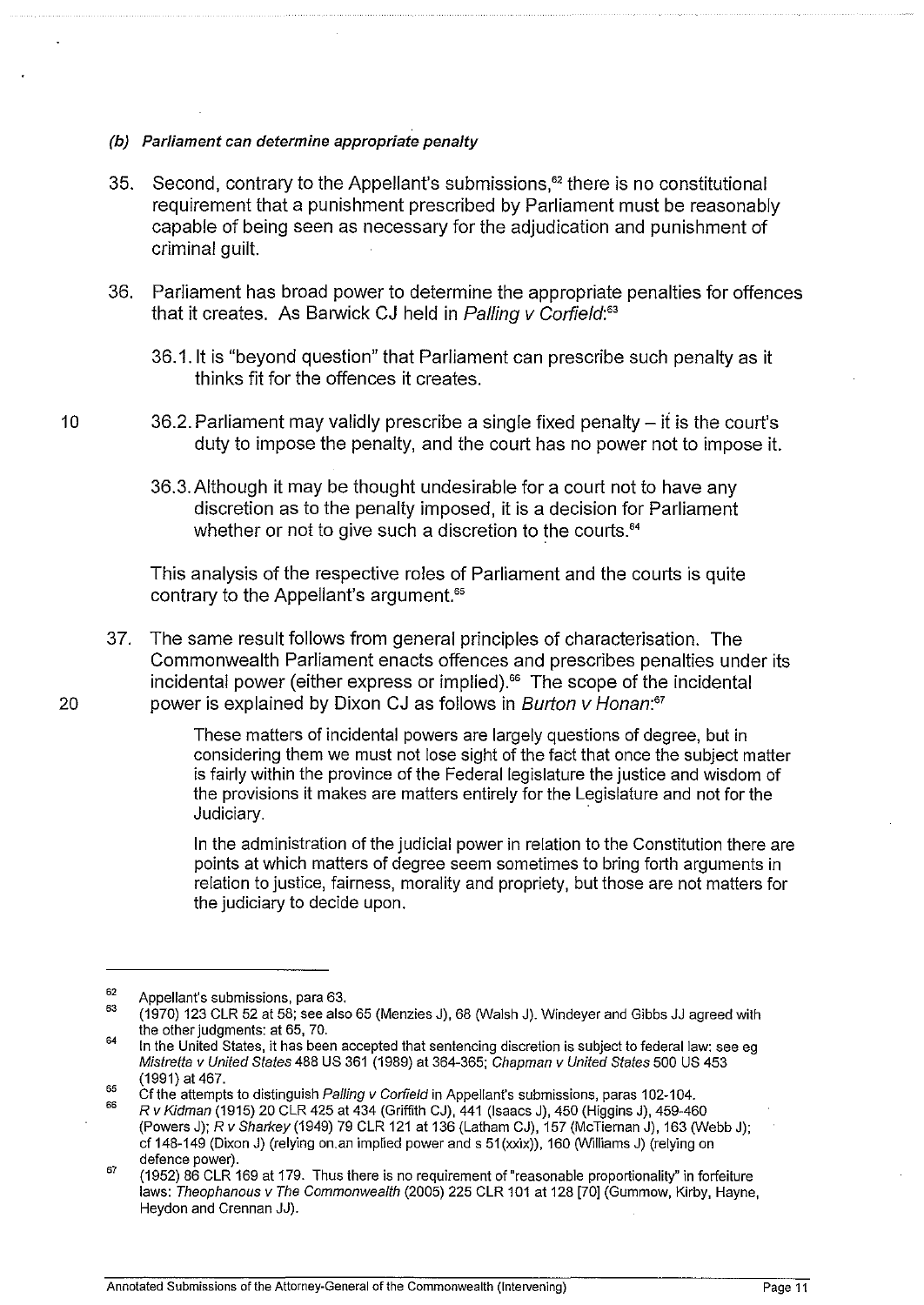- (b) Parliament can determine appropriate penalty
- 35. Second, contrary to the Appellant's submissions, $^{62}$  there is no constitutional requirement that a punishment prescribed by Parliament must be reasonably capable of being seen as necessary for the adjudication and punishment of criminal guilt.
- 36. Parliament has broad power to determine the appropriate penalties for offences that it creates. As Barwick CJ held in Palling v Corfield:*<sup>6</sup> '* 
	- 36.1.1t is "beyond question" that Parliament can prescribe such penalty as it thinks fit for the offences it creates.
- 10 36.2. Parliament may validly prescribe a single fixed penalty- if is the court's duty to impose the penalty, and the court has no power not to impose it.
	- 36.3.Aithough it may be thought undesirable for a court not to have any discretion as to the penalty imposed, it is a decision for Parliament whether or not to give such a discretion to the courts.<sup>64</sup>

This analysis of the respective roles of Parliament and the courts is quite contrary to the Appellant's argument.<sup>65</sup>

37. The same result follows from general principles of characterisation. The Commonwealth Parliament enacts offences and prescribes penalties under its incidental power (either express or implied). $66$  The scope of the incidental 20 power is explained by Dixon CJ as follows in Burton v Honan:*<sup>67</sup>*

> These matters of incidental powers are largely questions of degree, but in considering them we must not lose sight of the fact that once the subject matter is fairly within the province of the Federal legislature the justice and wisdom of the provisions it makes are matters entirely for the Legislature and not for the Judiciary.

In the administration of the judicial power in relation to the Constitution there are points at which matters of degree seem sometimes to bring forth arguments in relation to justice, fairness, morality and propriety, but those are not matters for the judiciary to decide upon.

<sup>62</sup>  Appellant's submissions, para 63.

<sup>63</sup>  (1970) 123 CLR 52 at 58; see also 65 (Menzies J), 68 (Walsh J). Windeyer and Gibbs JJ agreed with the other judgments: at 65, 70.

<sup>64</sup>  In the United States, it has been accepted that sentencing discretion is subject to federal law: see eg Mistretta v United States 488 US 361 (1989) at 364-365; Chapman v United States 500 US 453 (1991) at 467.

<sup>65</sup>  Cf the attempts to distinguish Palling v Corfield in Appellant's submissions, paras 102-104.

<sup>66</sup>  R v Kidman (1915) 20 CLR 425 at 434 (Griffith CJ), 441 (Isaacs J), 450 (Higgins J), 459-460 (Powers J); R v Sharkey (1949) 79 CLR 121 at 136 (Latham CJ), 157 (McTiernan J), 163 (Webb J); cf 148-149 (Dixon J) (relying on.an implied power and s 51(xxix)), 160 (Williams J) (relying on defence power).

<sup>67</sup>  (1952) 86 CLR 169 at 179. Thus there is no requirement of "reasonable proportionality" in forfeiture laws: Theophanous v The Commonwealth (2005) 225 CLR 101 at 128 [70] (Gummow, Kirby, Hayne, Heydon and Grennan JJ).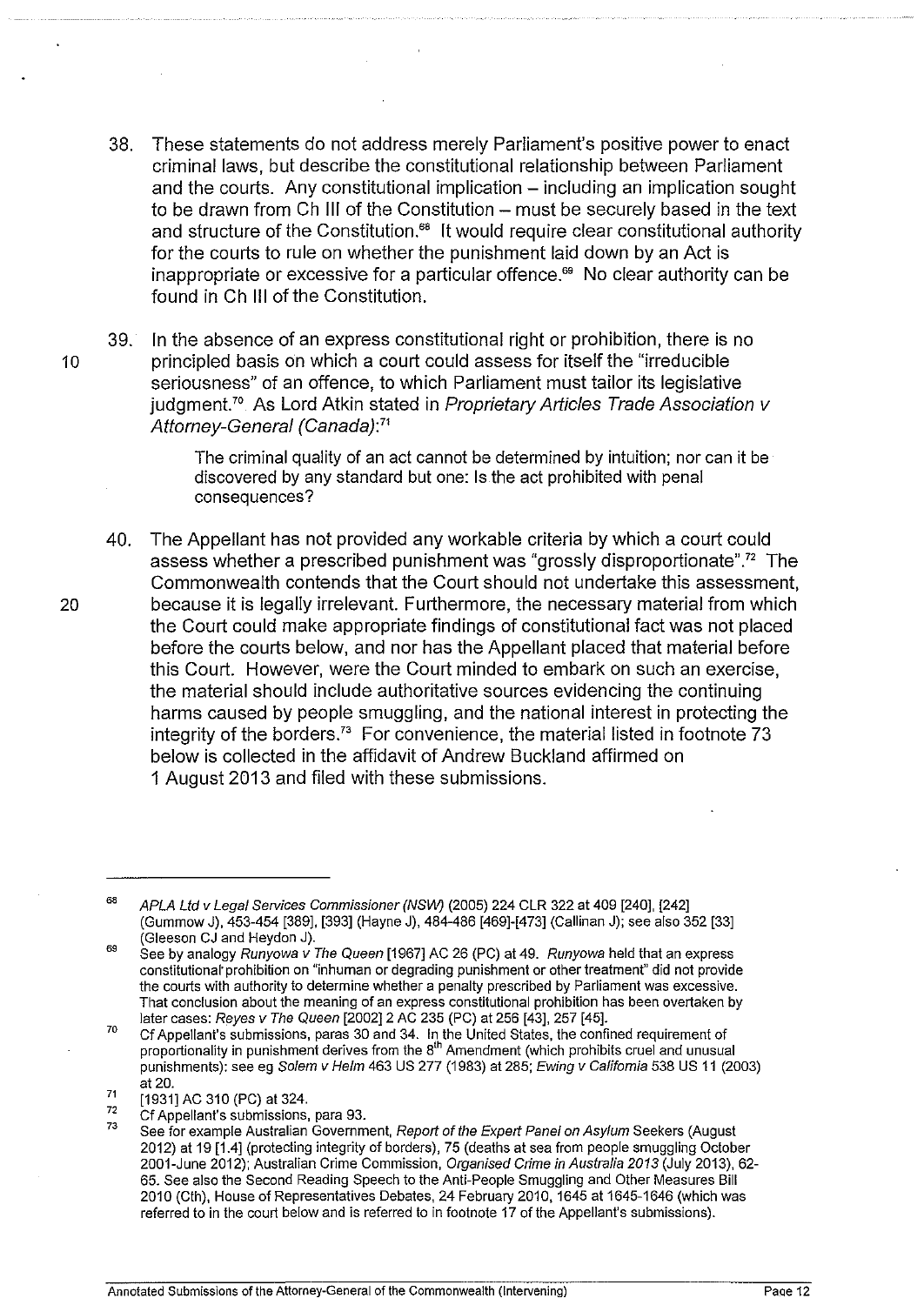- 38. These statements do not address merely Parliament's positive power to enact criminal laws, but describe the constitutional relationship between Parliament and the courts. Any constitutional implication- including an implication sought to be drawn from Ch III of the Constitution - must be securely based in the text and structure of the Constitution.<sup>68</sup> It would require clear constitutional authority for the courts to rule on whether the punishment laid down by an Act is inappropriate or excessive for a particular offence.<sup>69</sup> No clear authority can be found inCh Ill of the Constitution.
- 39. In the absence of an express constitutional right or prohibition, there is no 10 **principled basis on which a court could assess for itself the "irreducible"** seriousness" of an offence, to which Parliament must tailor its legislative  $j$ udgment.<sup>70</sup> As Lord Atkin stated in Proprietary Articles Trade Association v Attorney-General (Canada): *<sup>71</sup>*

The criminal quality of an act cannot be determined by intuition; nor can it be discovered by any standard but one: Is the act prohibited with penal consequences?

40. The Appellant has not provided any workable criteria by which a court could assess whether a prescribed punishment was "grossly disproportionate".72 The Commonwealth contends that the Court should not undertake this assessment, 20 because it is legally irrelevant. Furthermore, the necessary material from which the Court could make appropriate findings of constitutional fact was not placed before the courts below, and nor has the Appellant placed that material before this Court. However, were the Court minded to embark on such an exercise, the material should include authoritative sources evidencing the continuing harms caused by people smuggling, and the national interest in protecting the integrity of the borders.<sup>73</sup> For convenience, the material listed in footnote 73 below is collected in the affidavit of Andrew Buckland affirmed on 1 August 2013 and filed with these submissions.

<sup>68</sup>  APLA Ltd v Legal Services Commissioner (NSW) (2005) 224 CLR 322 at 409 [240], [242] (Gummow J), 453-454 [389], [393] (Hayne J), 484-486 [469]-[473] (Callinan J); see also 352 [33] (Gleeson CJ and Heydon J).

<sup>69</sup>  See by analogy Runyowa  $\acute{v}$  The Queen [1967] AC 26 (PC) at 49. Runyowa held that an express constitutional· prohibition on "inhuman or degrading punishment or other treatment" did not provide the courts with authority to determine whether a penalty prescribed by Parliament was excessive. That conclusion about the meaning of an express constitutional prohibition has been overtaken by later cases: Reyes v The Queen [2002]2 AC 235 (PC) at 256 [43], 257 [45].

<sup>70</sup>  71 Cf Appellant's submissions, paras 30 and 34. In the United States, the confined requirement of proportionality in punishment derives from the 8'" Amendment (which prohibits cruel and unusual punishments): see eg Solem v Helm 463 US 277 (1983) at 285; Ewing v California 538 US 11 (2003) at 20.

<sup>[1931]</sup> AC 310 (PC) at 324.

<sup>72</sup>  Cf Appellant's submissions, para 93.

<sup>73</sup>  See for example Australian Government, Report of the Expert Panel on Asylum Seekers (August 2012) at 19 [1.4] (protecting integrity of borders), 75 (deaths at sea from people smuggling October 2001-June 2012); Australian Crime Commission, Organised Crime in Australia 2013 (July 2013), 62- 65. See also the Second Reading Speech to the Anti-People Smuggling and Other Measures Bill 2010 (Cth), House of Representatives Debates, 24 February 2010, 1645 at 1645-1646 (which was referred to in the court below and is referred to in footnote 17 of the Appellant's submissions).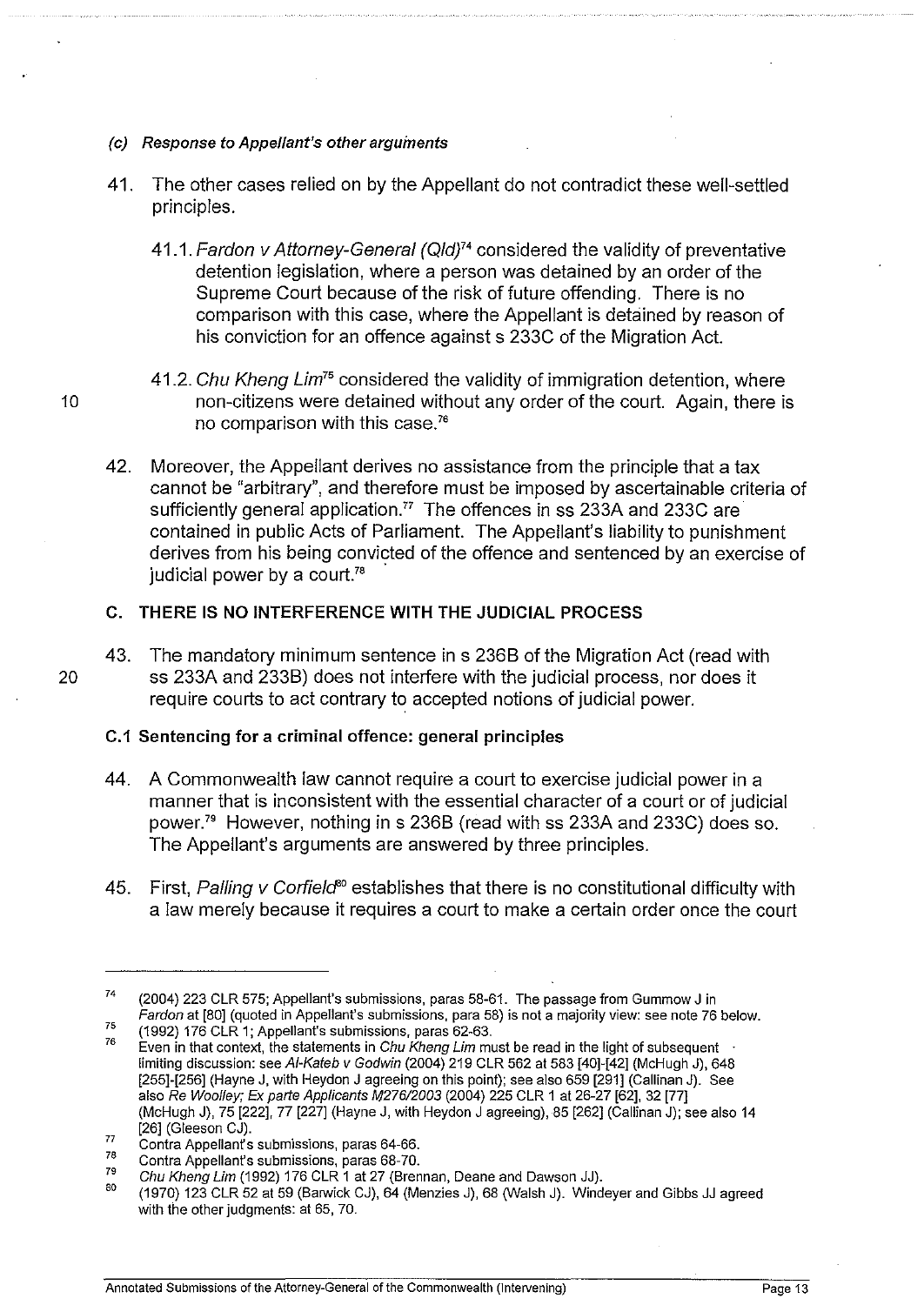### (c) Response to Appellant's other arguments

- 41. The other cases relied on by the Appellant do not contradict these well-settled principles.
	- 41.1. Fardon v Attorney-General (Qld)<sup>74</sup> considered the validity of preventative detention legislation, where a person was detained by an order of the Supreme Court because of the risk of future offending. There is no comparison with this case, where the Appellant is detained by reason of his conviction for an offence against s 233C of the Migration Act.
- 41.2. Chu Kheng Lim*<sup>75</sup>*considered the validity of immigration detention, where 10 hon-citizens were detained without any order of the court. Again, there is no comparison with this case. <sup>76</sup>
	- 42. Moreover, the Appellant derives no assistance from the principle that a tax cannot be "arbitrary", and therefore must be imposed by ascertainable criteria of sufficiently general application.<sup>77</sup> The offences in ss 233A and 233C are contained in public Acts of Parliament. The Appellant's liability to punishment derives from his being convicted of the offence and sentenced by an exercise of judicial power by a court.<sup>78</sup>

## **C. THERE IS NO INTERFERENCE WITH THE JUDICIAL PROCESS**

43. The mandatory minimum sentence in s 2368 of the Migration Act (read with 20 ss 233A and 2338) does not interfere with the judicial process, nor does it require courts to act contrary to accepted notions of judicial power.

## **C.1 Sentencing for a criminal offence: general principles**

- 44. A Commonwealth law cannot require a court to exercise judicial power in a manner that is inconsistent with the essential character of a court or of judicial power.'' However, nothing in s 2368 (read with ss 233A and 233C) does so. The Appellant's arguments are answered by three principles.
- 45. First, Palling v Corfield<sup>80</sup> establishes that there is no constitutional difficulty with a law merely because it requires a court to make a certain order once the court

<sup>74</sup>  75 (2004) 223 CLR 575; Appellant's submissions, paras 58-61. The passage from Gummow J in Fardon at [80] (quoted in Appellant's submissions, para 58) is not a majority view: see note 76 below. (1992) 176 CLR 1; Appellant's submissions, paras 62-63.

<sup>76</sup>  Even in that context, the statements in Chu Kheng Lim must be read in the light of subsequent limiting discussion: see Af·Kateb v Godwin (2004) 219 CLR 562 at 583 [40]-[42] (McHugh J), 648 [255]-[256] (Hayne J, with Heydon J agreeing on this point); see also 659 [291] (Callinan J). See also Re Woolley; Ex parte Applicants M276/2003 (2004) 225 CLR 1 at 26-27 [62], 32 [77] (McHugh J), 75 [222], 77 [227] (Hayne J, with Heydon J agreeing), 85 [262] (Callinan J); see also 14 [26] (Gleeson CJ).

<sup>77</sup>  Contra Appellant's submissions, paras 64-66.

<sup>78</sup>  Contra Appellant's submissions, paras 68-70.

<sup>79</sup>  Chu Kheng Lim (1992) 176 CLR 1 at 27 (Brennan, Deane and Dawson JJ).

<sup>80</sup>  (1970) 123 CLR 52 at 59 (Banwick CJ), 64 (Menzies J), 68 (Walsh J). Windeyer and Gibbs JJ agreed with the other judgments: at 65, 70.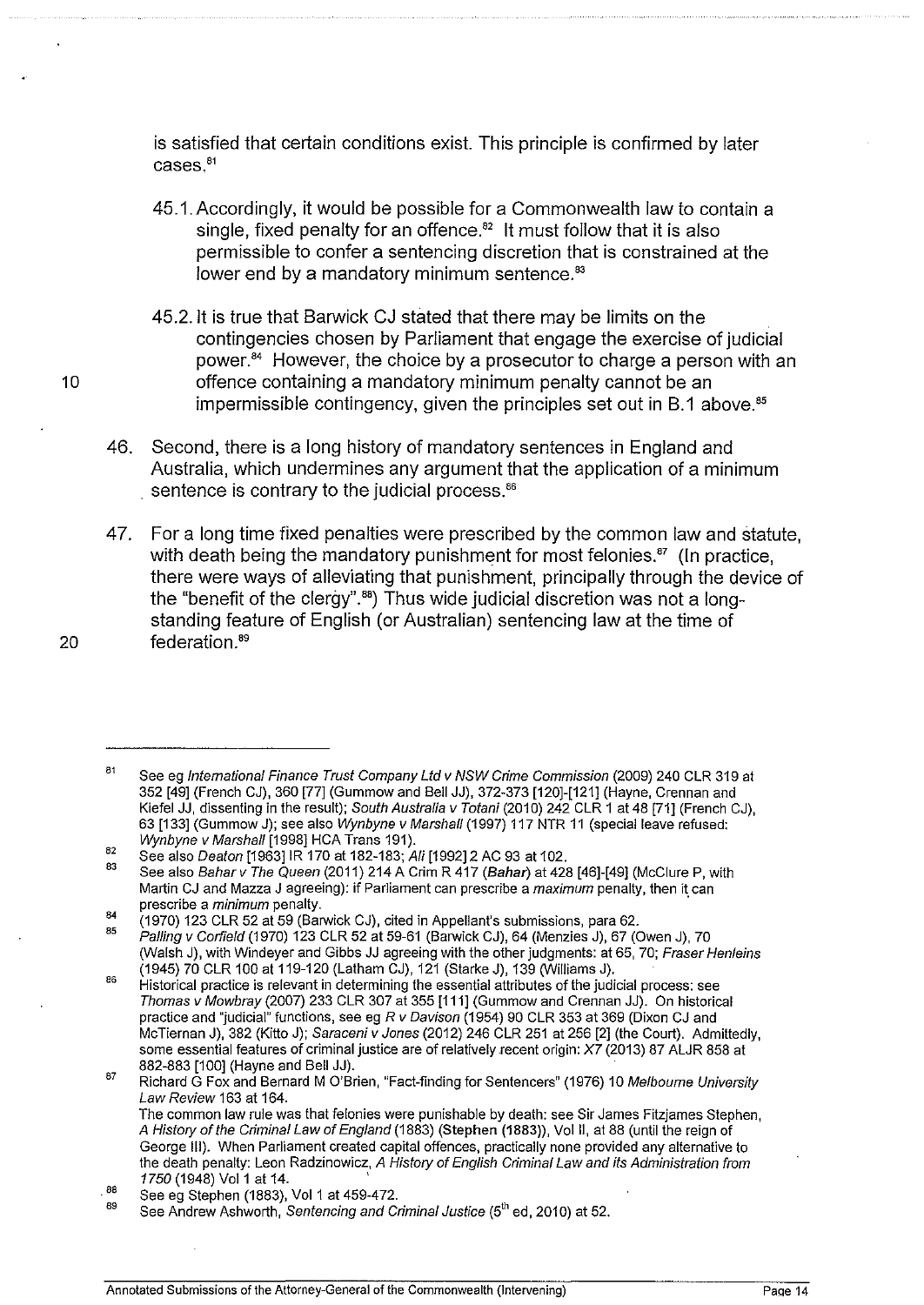is satisfied that certain conditions exist. This principle is confirmed by later cases, <sup>81</sup>

- 45,1, Accordingly, it would be possible for a Commonwealth law to contain a single, fixed penalty for an offence. $82$  It must follow that it is also permissible to confer a sentencing discretion that is constrained at the lower end by a mandatory minimum sentence.<sup>83</sup>
- 45.2.1t is true that Barwick CJ stated that there may be limits on the contingencies chosen by Parliament that engage the exercise of judicial power.<sup>84</sup> However, the choice by a prosecutor to charge a person with an 10 offence containing a mandatory minimum penalty cannot be an impermissible contingency, given the principles set out in  $B.1$  above.<sup>85</sup>
	- 46. Second, there is a long history of mandatory sentences in England and Australia, which undermines any argument that the application of a minimum sentence is contrary to the judicial process.<sup>86</sup>
- 47. For a long time fixed penalties were prescribed by the common law and statute, with death being the mandatory punishment for most felonies.<sup>87</sup> (In practice, there were ways of alleviating that punishment, principally through the device of the "benefit of the clergy".<sup>88</sup>) Thus wide judicial discretion was not a longstanding feature of English (or Australian) sentencing law at the time of 20 federation.<sup>89</sup>

<sup>81</sup>  82 See eg International Finance Trust Company Ltd v NSW Crime Commission (2009) 240 CLR 319 at 352 [49] (French CJ), 360 [77] (Gummow and Bell JJ), 372-373 [120]-[121] (Hayne, Grennan and Kiefel JJ, dissenting in the result); South Australia v Totani (2010) 242 CLR 1 at 48 [71] (French CJ), 63 [133] (Gummow J); see also Wynbyne v Marshall (1997) 117 NTR 11 (special leave refused: Wynbyne v Marshall [1998] HCA Trans 191).

<sup>83</sup>  See also Deaton [1963]1R 170 at 182-183; Ali [1992]2 AC 93 at 102. See also Bahar v The Queen (2011) 214 A Crim R 417 (Bahar) at 428 [46]-[49] (McClure P, with Martin CJ and Mazza J agreeing): if Parliament can prescribe a *maximum* penalty, then it can

<sup>84</sup>  prescribe a *minimum* penalty.

<sup>85</sup>  (1970) 123 CLR 52 at 59 (Barwick CJ), cited in Appellant's submissions, para 62.

Palling v Garfield (1970) 123 CLR 52 at 59-61 (Barwick CJ), 64 (Menzies J), 67 (Owen J), 70 (Walsh J), with Windeyer and Gibbs JJ agreeing with the other judgments: at 65, 70; Fraser Henleins (1945) 70 CLR 100 at 119-120 (latham CJ), 121 (Starke J), 139 (Williams J).

<sup>86</sup>  87 Historical practice is relevant in determining the essential attributes of the judicial process: see Thomas v Mowbray (2007) 233 CLR 307 at 355 [111] (Gummow and Grennan JJ). On historical practice and "judicial" functions, see eg R v Davison (1954) 90 CLR 353 at 369 (Dixon CJ and McTiernan J), 382 (Kitto J); Saraceni v Jones (2012) 246 CLR 251 at 256 [2] (the Court). Admittedly, some essential features of criminal justice are of relatively recent origin: X7 (2013) 87 ALJR 858 at 882-883 [100] (Hayne and Bell JJ).

Richard G Fox and Bernard M O'Brien, "Fact-finding for Sentencers" (1976) 10 Melbourne University Law Review 163 at 164. The common Jaw rule was that felonies were punishable by death: see Sir James Fitzjames Stephen,

A History of the Criminal Law of England (1883) (Stephen (1883)), Vol II, at 88 (until the reign of George Ill). When Parliament created capital offences, practically none provided any alternative to the death penalty: Leon Radzinowicz, A History of English Criminal Law and its Administration from 1750 (1948) Vol 1 at 14.

<sup>.88</sup>  See eg Stephen (1883), Vol 1 at 459-472.

<sup>89</sup>  See Andrew Ashworth, Sentencing and Criminal Justice (5<sup>th</sup> ed, 2010) at 52.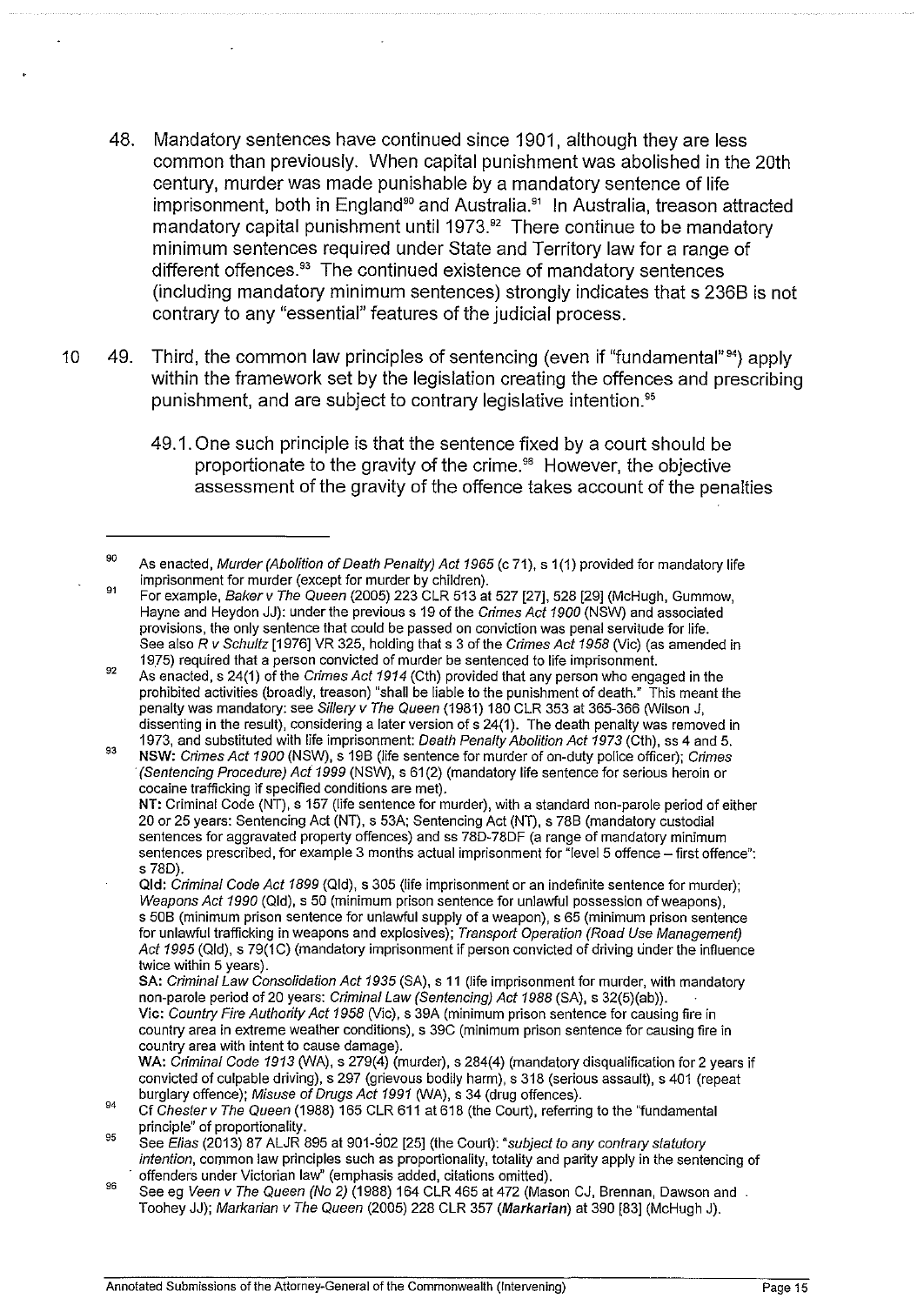- 48. Mandatory sentences have continued since 1901, although they are less common than previously. When capital punishment was abolished in the 20th century, murder was made punishable by a mandatory sentence of life imprisonment, both in England<sup>90</sup> and Australia.<sup>91</sup> In Australia, treason attracted mandatory capital punishment until 1973.<sup>92</sup> There continue to be mandatory minimum sentences required under State and Territory law for a range of different offences.<sup>33</sup> The continued existence of mandatory sentences (including mandatory minimum sentences) strongly indicates that s 2368 is not contrary to any "essential" features of the judicial process.
- 10 49. Third, the common law principles of sentencing (even if "fundamental"<sup>94</sup>) apply within the framework set by the legislation creating the offences and prescribing punishment, and are subject to contrary legislative intention.<sup>95</sup>
	- 49.1. One such principle is that the sentence fixed by a court should be proportionate to the gravity of the crime.<sup>96</sup> However, the objective assessment of the gravity of the offence takes account of the penalties

- 91 For example. Bakerv The Queen (2005) 223 CLR 513 at 527 [27], 528 [29] (McHugh, Gummow, Hayne and Heydon JJ): under the previous s 19 of the Crimes Act 1900 (NSW) and associated provisions, the only sentence that could be passed on conviction was penal servitude for life. See also R v Schultz [1976] VR 325, holding that s 3 of the Crimes Act 1958 (Vic) (as amended in 1975) required that a person convicted of murder be sentenced to life imprisonment.
- 92 As enacted, s 24(1) of the Crimes Act 1914 (Cth) provided that any person who engaged in the prohibited activities (broadly, treason) "shall be liable to the punishment of death." This meant the penalty was mandatory: see Sillery v The Queen (1981) 180 CLR 353 at 365-366 (Wilson J, dissenting in the result), considering a later version of s 24(1). The death penalty was removed in 1973, and substituted with life imprisonment: Death Penalty Abolition Act 1973 (Cth), ss 4 and 5.
- 93 NSW: Crimes Act 1900 (NSW), s 198 (life sentence for murder of on-duty police officer); Crimes ·(Sentencing Procedure) Act 1999 (NSW), s 61 (2) (mandatory life sentence for serious heroin or cocaine trafficking if specified conditions are met). NT: Criminal Code (NT), s 157 (life sentence for murder), with a standard non-parole period of either

20 or 25 years: Sentencing Act (NT), s 53A; Sentencing Act (NT), s 788 (mandatory custodial sentences for aggravated property offences) and ss 78D-78DF (a range of mandatory minimum sentences prescribed, for example 3 months actual imprisonment for "level 5 offence - first offence": s 780).

Qld: Criminal Code Act 1899 (Qld), s 305 (life imprisonment or an indefinite sentence for murder); Weapons Act 1990 (Qid), s 50 (minimum prison sentence for unlawful possession of weapons), s 508 (minimum prison sentence for unlawful supply of a weapon), s 65 (minimum prison sentence for unlawful trafficking in weapons and explosives); Transport Operation (Road Use Management) Act 1995 (Qld), s 79(1C) (mandatory imprisonment if person convicted of driving under the influence twice within 5 years).

<sup>90</sup>  As enacted, Murder (Abolition of Death Penalty) Act 1965 (c 71), s 1 (1) provided for mandatory life imprisonment for murder (except for murder by children).

SA: Criminal Law Consolidation Act 1935 (SA), s 11 (life imprisonment for murder, with mandatory non-parole period of20 years: Criminal Law (Sentencing) Act 1988 (SA), s 32(5)(ab)). Vic: Country Fire Authority Act 1958 (Vic), s 39A (minimum prison sentence for causing fire in

country area in extreme weather conditions), s 39C (minimum prison sentence for causing fire in country area with intent to cause damage).

WA: Criminal Code 1913 (WA), s 279(4) (murder), s 284(4) (mandatory disqualification for 2 years if convicted of culpable driving), s 297 (grievous bodily harm), s 318 (serious assault), s 401 (repeat burglary offence); Misuse of Drugs Act 1991 (WA), s 34 (drug offences).

<sup>94</sup>  Cf Chester v The Queen (1988) 165 CLR 611 at 618 (the Court), referring to the "'fundamental principle" of proportionality. .

<sup>95</sup>  See Elias (2013) 87 ALJR 895 at 901-902 [25] (the Court): "subject to any contrary statutory intention, common law principles such as proportionality, totality and parity apply in the sentencing of offenders under Victorian law" (emphasis added, citations omitted).

<sup>&</sup>lt;sup>96</sup> See eg Veen v The Queen (No 2) (1988) 164 CLR 465 at 472 (Mason CJ, Brennan, Dawson and . Toohey JJ); Markarian v The Queen (2005) 228 CLR 357 (Markarian) at 390 [83] (McHugh J).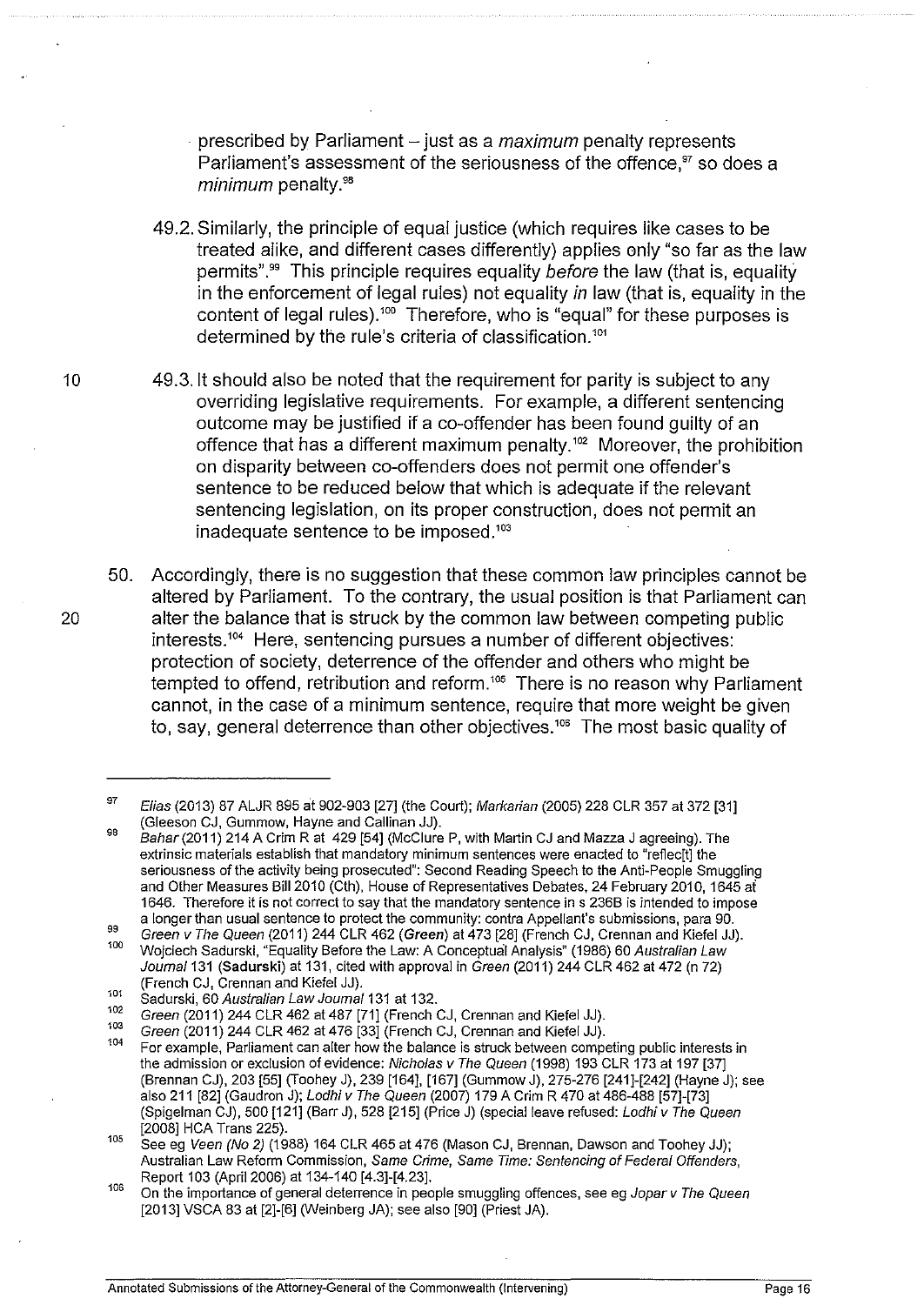· prescribed by Parliament -just as a *maximum* penalty represents Parliament's assessment of the seriousness of the offence,<sup>97</sup> so does a *minimum* penalty.<sup>98</sup>

- 49.2. Similarly, the principle of equal justice (which requires like cases to be treated alike, and different cases differently) applies only "so far as the law permits".<sup>99</sup> This principle requires equality *before* the law (that is, equality in the enforcement of legal rules) not equality *in* law (that is, equality in the content of legal rules).<sup>100</sup> Therefore, who is "equal" for these purposes is determined by the rule's criteria of classification.<sup>101</sup>
- 10 49.3.1t should also be noted that the requirement for parity is subject to any overriding legislative requirements. For example, a different sentencing outcome may be justified if a co-offender has been found guilty of an offence that has a different maximum penalty.<sup>102</sup> Moreover, the prohibition on disparity between co-offenders does not permit one offender's sentence to be reduced below that which is adequate if the relevant sentencing legislation, on its proper construction, does not permit an inadequate sentence to be imposed.<sup>103</sup>
- 50. Accordingly, there is no suggestion that these common law principles cannot be altered by Parliament. To the contrary, the usual position is that Parliament can 20 alter the balance that is struck by the common law between competing public interests.<sup>104</sup> Here, sentencing pursues a number of different objectives: protection of society, deterrence of the offender and others who might be tempted to offend, retribution and reform.<sup>105</sup> There is no reason why Parliament cannot, in the case of a minimum sentence, require that more weight be given to, say, general deterrence than other objectives.<sup>106</sup> The most basic quality of

<sup>97</sup>  98 Elias (2013) 87 ALJR 895 at 902-903 [27] (the Court); Markarian (2005) 228 CLR 357 at 372 [31] (Gleeson CJ, Gummow, Hayne and Callinan JJ).

Bahar(2011) 214 A Grim Rat 429 [54] (McClure P, with Martin CJ and Mazza J agreeing). The extrinsic materials establish that mandatory minimum sentences were enacted to "refiec[t] the seriousness of the activity being prosecuted": Second Reading Speech to the Anti-People Smuggling and Other Measures Bi112010 (Cth), House of Representatives Debates, 24 February 2010, 1645 ai 1646. Therefore it is not correct to say that the mandatory sentence in s 2368 is intended to impose a longer than usual sentence to protect the community: contra Appellant's submissions, para 90.<br>Green v The Queen (2011) 244 CLR 462 (Green) at 473 [28] (French CJ, Crennan and Kiefel JJ).

<sup>99</sup>  100 Wojciech Sadurski, "Equality Before the Law: A Conceptual Analysis" (1986) 60 Australian Law Journal 131 (Sadurski) at 131, cited with approval in Green (2011) 244 CLR 462 at 472 (n 72)

<sup>(</sup>French CJ, Crennan and Kiefel JJ).<br><sup>101</sup> Sadurski, 60 *Australian Law Joumal* 131 at 132.<br><sup>102</sup> Green (2011) 244 CLR 462 at 487 [71] (French CJ, Crennan and Kiefel JJ).

<sup>103</sup> Green (2011) 244 CLR 462 at 476 [33] (French CJ, Crennan and Kiefel JJ).<br><sup>104</sup> For example, Parliament can alter how the balance is struck between competing public interests in the admission or exclusion of evidence: Nicholas v The Queen (1998) 193 CLR 173 at 197 [37] (Brennan CJ), 203 [55] (Toohey J), 239 [164], [167] (Gummow J), 275-276 [241]-[242] (Hayne J); see also 211 [82] (Gaudron J); *Lodhi v The Queen (*2007) 179 A Crim R 470 at 486-488 [57]-[73] (Spigelman CJ), 500 [121] (Barr J), 528 [215] (Price J) (special leave refused: Lodhi v The Queen [2008] HCA Trans 225). 105 See eg Veen (No 2) (1988) 164 CLR 465 at 476 (Mason CJ, Brennan, Dawson and Toohey JJ);

Australian Law Reform Commission, Same Crime, Same Time: Sentencing of Federal Offenders, Report 103 (April 2006) at 134-140 [4.3]-[4.23].<br><sup>106</sup> On the importance of general deterrence in people smuggling offences, see eg Jopar v The Queen

<sup>[2013]</sup> VSCA 83 at [2]-[6] (Weinberg JA); see also [90] (Priest JA).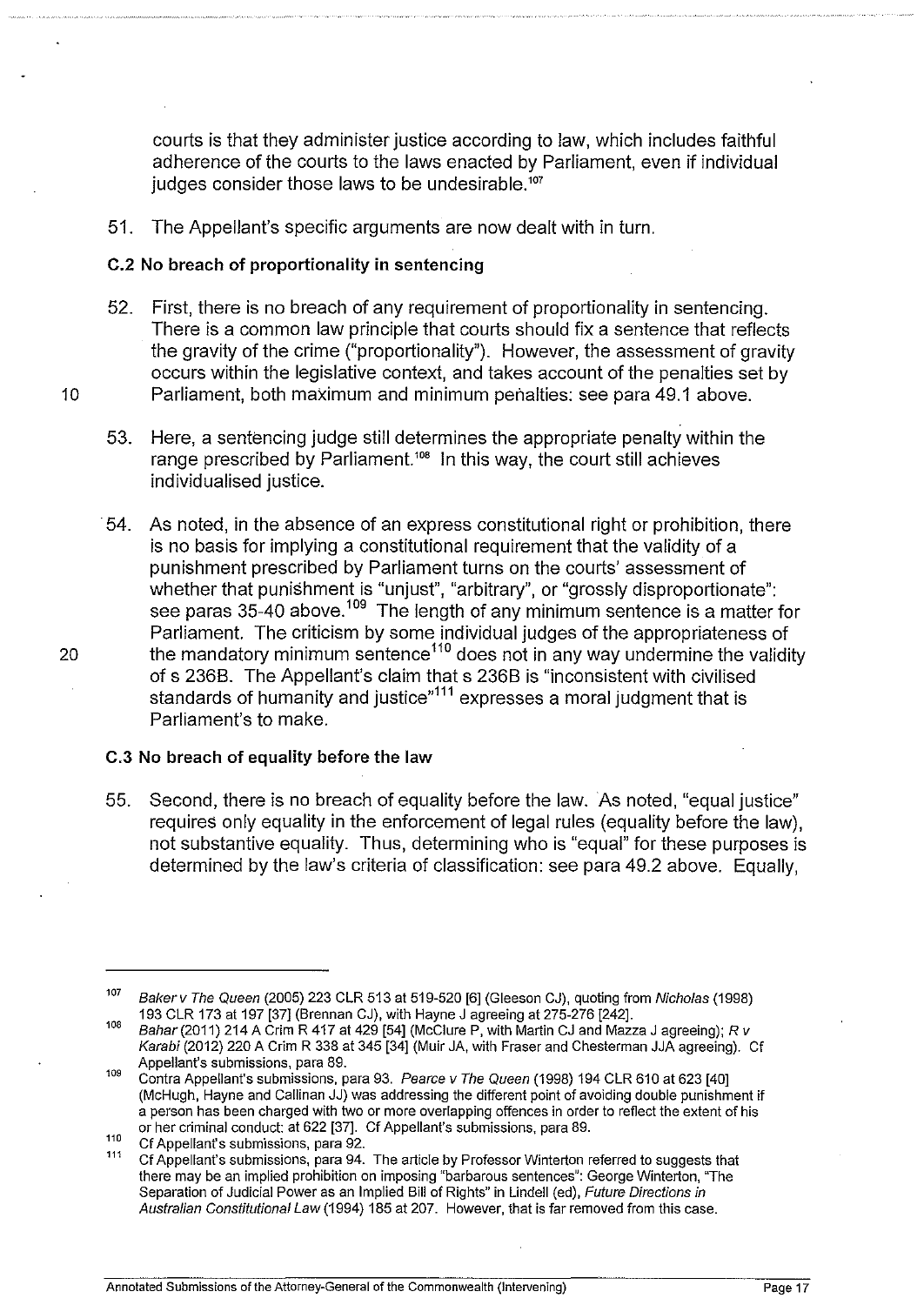courts is that they administer justice according to law, which includes faithful adherence of the courts to the laws enacted by Parliament, even if individual judges consider those laws to be undesirable.<sup>107</sup>

51. The Appellant's specific arguments are now dealt with in turn.

### **C.2 No breach of proportionality in sentencing**

- 52. First, there is no breach of any requirement of proportionality in sentencing. There is a common law principle that courts should fix a sentence that reflects the gravity of the crime ("proportionality"). However, the assessment of gravity occurs within the legislative context, and takes account of the penalties set by 10 Parliament, both maximum and minimum penalties: see para 49.1 above.
	- 53. Here, a sentencing judge still determines the appropriate penalty within the range prescribed by Parliament.<sup>108</sup> In this way, the court still achieves individualised justice.
- 54. As noted, in the absence of an express constitutional right or prohibition, there is no basis for implying a constitutional requirement that the validity of a punishment prescribed by Parliament turns on the courts' assessment of whether that punishment is "unjust", "arbitrary", or "grossly disproportionate": see paras 35-40 above.<sup>109</sup> The length of any minimum sentence is a matter for Parliament. The criticism by some individual judges of the appropriateness of 20 the mandatory minimum sentence<sup>110</sup> does not in any way undermine the validity of s 2368. The Appellant's claim that s 2368 is "inconsistent with civilised standards of humanity and justice"<sup>111</sup> expresses a moral judgment that is Parliament's to make.

#### C.3 **No breach of equality before the law**

55. Second, there is no breach of equality before the law. As noted, "equal justice" requires only equality in the enforcement of legal rules (equality before the law), not substantive equality. Thus, determining who is "equal" for these purposes is determined by the law's criteria of classification: see para 49.2 above. Equally,

<sup>107</sup> Baker v The Queen (2005) 223 CLR 513 at 519-520 [6] (Gleeson CJ), quoting from Nicholas (1998)<br>193 CLR 173 at 197 [37] (Brennan CJ), with Hayne J agreeing at 275-276 [242].

<sup>108</sup> Bahar (2011) 214 A Grim R 417 at 429 [54] (McClure P, with Martin CJ and Mazza J agreeing); R v Karabi (2012) 220 A Grim R 338 at 345 [34] (Muir JA, with Fraser and Chesterman JJA agreeing). Cf Appellant's submissions, para 89.

<sup>109</sup> Contra Appellant's submissions, para 93. Pearce v The Queen (1998) 194 CLR 610 at 623 [40] (McHugh, Hayne and Callinan JJ) was addressing the different point of avoiding double punishment if a person has been charged with two or more overlapping offences in order to reflect the extent of his or her criminal conduct: at 622 [37]. Cf Appellant's submissions, para 89.

or der criminal conduct: at 622 [37]. Component conductions, para 31<br>111 Cf Appellant's submissions, para 94. The article by Professor Winterton referred to suggests that<br>111 Cf Appellant's submissions, para 94. The articl there may be an implied prohibition on imposing "barbarous sentences": George Winterton, "The Separation of Judicial Power as an Implied Bill of Rights" in Lindell (ed), Future Directions in Australian Constitutional Law (1994) 185 at 207. However, that is far removed from this case.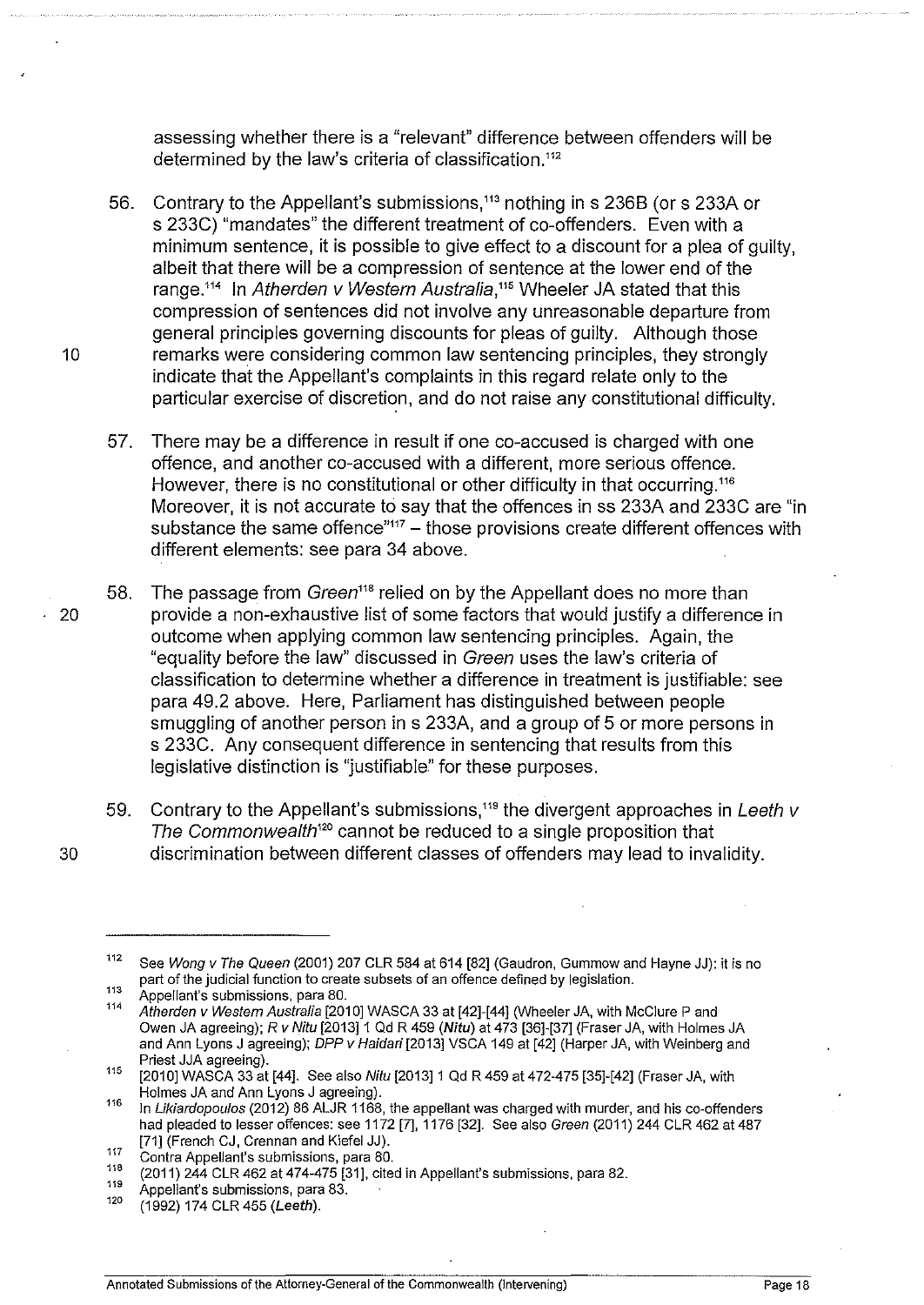assessing whether there is a "relevant" difference between offenders will be determined by the law's criteria of classification.<sup>112</sup>

- 56. Contrary to the Appellant's submissions,<sup>113</sup> nothing in s 236B (or s 233A or s 233C) "mandates" the different treatment of co-offenders. Even with a minimum sentence, it is possible to give effect to a discount for a plea of guilty, albeit that there will be a compression of sentence at the lower end of the range.<sup>114</sup> In Atherden v Western Australia,<sup>115</sup> Wheeler JA stated that this compression of sentences did not involve any unreasonable departure from general principles governing discounts for pleas of guilty. Although those 10 **The remarks were considering common law sentencing principles, they strongly** indicate that the Appellant's complaints in this regard relate only to the particular exercise of discretion, and do not raise any constitutional difficulty.
	- 57. There may be a difference in result if one co-accused is charged with one offence, and another co-accused with a different, more serious offence. However, there is no constitutional or other difficulty in that occurring.<sup>116</sup> Moreover, it is not accurate to say that the offences in ss 233A and 233C are "in substance the same offence $117 -$ those provisions create different offences with different elements: see para 34 above.
- 58. The passage from Green<sup>118</sup> relied on by the Appellant does no more than · 20 provide a non-exhaustive list of some factors that would justify a difference in outcome when applying common law sentencing principles. Again, the "equality before the law" discussed in Green uses the law's criteria of classification to determine whether a difference in treatment is justifiable: see para 49.2 above. Here, Parliament has distinguished between people smuggling of another person in s 233A, and a group of 5 or more persons in s 233C. Any consequent difference in sentencing that results from this legislative distinction is "justifiable" for these purposes.
- 59. Contrary to the Appellant's submissions,<sup>119</sup> the divergent approaches in Leeth  $\nu$ The Commonwealth<sup>120</sup> cannot be reduced to a single proposition that 30 discrimination between different classes of offenders may lead to invalidity.

<sup>&</sup>lt;sup>112</sup> See Wong v The Queen (2001) 207 CLR 584 at 614 [82] (Gaudron, Gummow and Hayne JJ): it is no part of the judicial function to create subsets of an offence defined by legislation.<br>Appellant's submissions, para 80.<br>114 Afterware in Martin Carlo 100 101 102 Co 20 at 140 154 1.000 in the 10 with M

Atherden v Westem Australia [2010] WASCA 33 at [42]-[44] (Wheeler JA, with McClure P and Owen JA agreeing); *R v* Nitu [2013]1 Qd R 459 (Nitu) at 473 [36]-[37] (Fraser JA, with Holmes JA and Ann Lyons J agreeing); DPP *v* Haidari [2013] VSCA 149 at [42] (Harper JA, with Weinberg and

Priest JJA agreeing).<br><sup>115</sup> [2010] WASCA 33 at [44]. See also *Nitu* [2013] 1 Qd R 459 at 472-475 [35]-[42] (Fraser JA, with<br>Holmes JA and Ann Lyons J agreeing).

<sup>116</sup> In Likiardopoulos (2012) 86 ALJR 1168, the appellant was charged with murder, and his co-offenders had pleaded to lesser offences: see 1172 [7], 1176 [32]. See also Green (2011) 244 CLR 462 at 487 [71] (French CJ, Grennan and Kiefel JJ).

<sup>117</sup> Contra Appellant's submissions, para 80.

 $^{118}$  (2011) 244 CLR 462 at 474-475 [31], cited in Appellant's submissions, para 82.

<sup>&</sup>lt;sup>119</sup> Appellant's submissions, para 83.

<sup>(1992) 174</sup> CLR 455 (Leeth).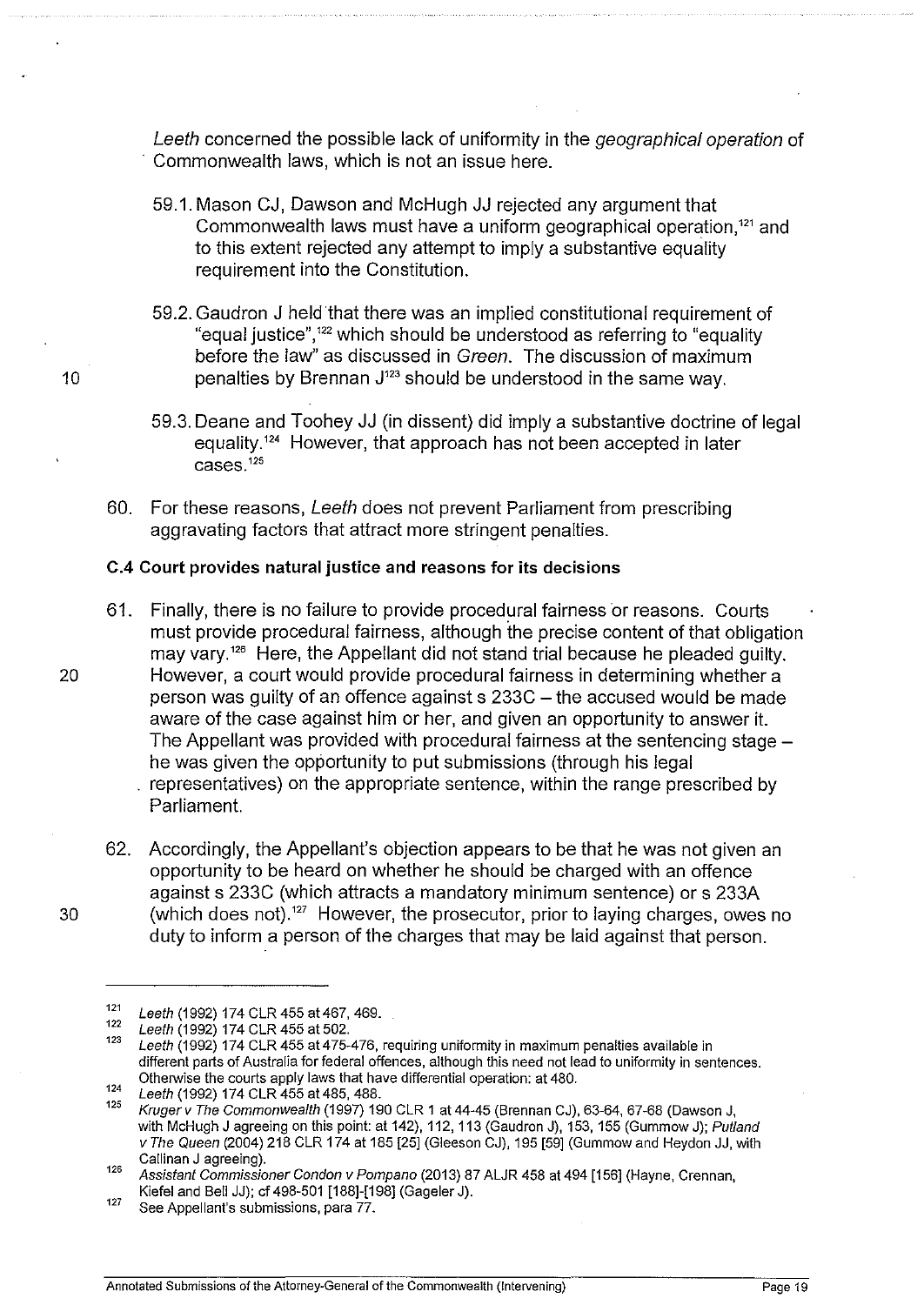Leeth concerned the possible lack of uniformity in the geographical operation of Commonwealth laws, which is not an issue here.

- 59.1. Mason CJ, Dawson and McHugh JJ rejected any argument that Commonwealth laws must have a uniform geographical operation.<sup>121</sup> and to this extent rejected any attempt to imply a substantive equality requirement into the Constitution.
- 59.2. Gaudron J held that there was an implied constitutional requirement of "equal justice",<sup>122</sup> which should be understood as referring to "equality before the law" as discussed in Green. The discussion of maximum 10 **penalties by Brennan J<sup>123</sup> should be understood in the same way.** 
	- 59.3. Deane and Toohey JJ (in dissent) did imply a substantive doctrine of legal equality.<sup>124</sup> However, that approach has not been accepted in later  $cases.$ <sup>125</sup>
	- 60. For these reasons, Leeth does not prevent Parliament from prescribing aggravating factors that attract more stringent penalties.

## C.4 Court provides natural justice and reasons for its decisions

- 61. Finally, there is no failure to provide procedural fairness or reasons. Courts must provide procedural fairness, although the precise content of that obligation may vary.<sup>126</sup> Here, the Appellant did not stand trial because he pleaded guilty. 20 However, a court would provide procedural fairness in determining whether a person was guilty of an offence against s 233C- the accused would be made aware of the case against him or her, and given an opportunity to answer it. The Appellant was provided with procedural fairness at the sentencing stage he was given the opportunity to put submissions (through his legal representatives) on the appropriate sentence, within the range prescribed by Parliament.
- 62. Accordingly, the Appellant's objection appears to be that he was not given an opportunity to be heard on whether he should be charged with an offence against s 233C (which attracts a mandatory minimum sentence) or s 233A 30 (which does not). 127 However, the prosecutor, prior to laying charges, owes no duty to inform a person of the charges that may be laid against that person.

 $121$  Leeth (1992) 174 CLR 455 at 467, 469.

 $\frac{122}{123}$  Leeth (1992) 174 CLR 455 at 502.

Leeth (1992) 174 CLR 455 at 475-476, requiring uniformity in maximum penalties available in different parts of Australia for federal offences, although this need not lead to uniformity in sentences. Otherwise the courts apply laws that have differential operation: at 480.

 $124$  Leeth (1992) 174 CLR 455 at 485, 488.

<sup>125</sup>Krugerv The Commonwealth (1997) 190 CLR 1 at44-45 (Brennan CJ), 63-64,67-68 (Dawson J, with McHugh J agreeing on this point: at 142), 112, 113 (Gaudron J), 153, 155 (Gummow J); Putland v The Queen (2004) 218 CLR 174 at 185 [25] (Gleeson CJ), 195 [59] (Gummow and Heydon JJ, with Callinan J agreeing).

Callinan J agreeing). 126 Assistant Commissioner Condon v Pompano (2013) 87 ALJR 458 at 494 [156] (Hayne, Grennan, Kiefel and Bell JJ); cf 498-501 [188]-[198] (Gageler J).<br><sup>127</sup> See Appellant's submissions, para 77.